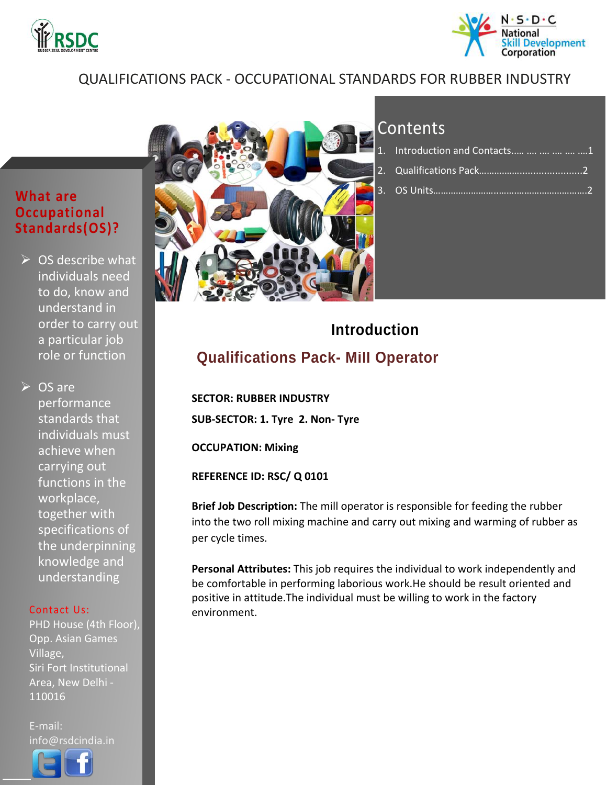



#### QUALIFICATIONS PACK - OCCUPATIONAL STANDARDS FOR RUBBER INDUSTRY

#### **What are Occupational Standards(OS)?**

 $\triangleright$  OS describe what individuals need to do, know and understand in order to carry out a particular job role or function

**▷ OS are** performance standards that individuals must achieve when carrying out functions in the workplace, together with specifications of the underpinning knowledge and understanding

#### Contact Us:

PHD House (4th Floor), Opp. Asian Games Village, Siri Fort Institutional Area, New Delhi - 110016

E-mail: info@rsdcindia.in



l



### Contents

| 1. Introduction and Contacts      1             |  |
|-------------------------------------------------|--|
|                                                 |  |
| 3.  OS Units………………… <del>………………………………………2</del> |  |

## **Introduction**

<span id="page-0-0"></span>**Qualifications Pack- Mill Operator**

 **SECTOR: RUBBER INDUSTRY SUB-SECTOR: 1. Tyre 2. Non- Tyre**

**OCCUPATION: Mixing**

**REFERENCE ID: RSC/ Q 0101**

**Brief Job Description:** The mill operator is responsible for feeding the rubber into the two roll mixing machine and carry out mixing and warming of rubber as per cycle times.

**Personal Attributes:** This job requires the individual to work independently and be comfortable in performing laborious work.He should be result oriented and positive in attitude.The individual must be willing to work in the factory environment.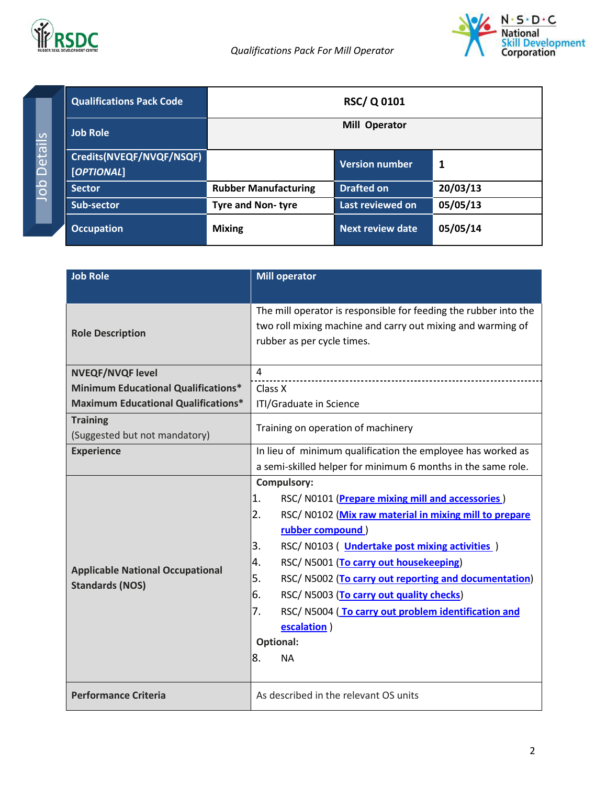

Job Details

Job Details



<span id="page-1-0"></span>

| <b>Qualifications Pack Code</b>        | <b>RSC/Q0101</b>            |                         |          |
|----------------------------------------|-----------------------------|-------------------------|----------|
| <b>Job Role</b>                        | <b>Operator</b><br>Mill     |                         |          |
| Credits(NVEQF/NVQF/NSQF)<br>[OPTIONAL] |                             | <b>Version number</b>   | 1        |
| <b>Sector</b>                          | <b>Rubber Manufacturing</b> | <b>Drafted on</b>       | 20/03/13 |
| Sub-sector                             | <b>Tyre and Non-tyre</b>    | Last reviewed on        | 05/05/13 |
| <b>Occupation</b>                      | <b>Mixing</b>               | <b>Next review date</b> | 05/05/14 |

| <b>Job Role</b>                                  | <b>Mill operator</b>                                                                                                                                          |  |
|--------------------------------------------------|---------------------------------------------------------------------------------------------------------------------------------------------------------------|--|
|                                                  |                                                                                                                                                               |  |
| <b>Role Description</b>                          | The mill operator is responsible for feeding the rubber into the<br>two roll mixing machine and carry out mixing and warming of<br>rubber as per cycle times. |  |
|                                                  |                                                                                                                                                               |  |
| <b>NVEQF/NVQF level</b>                          | 4                                                                                                                                                             |  |
| <b>Minimum Educational Qualifications*</b>       | Class X                                                                                                                                                       |  |
| <b>Maximum Educational Qualifications*</b>       | ITI/Graduate in Science                                                                                                                                       |  |
| <b>Training</b><br>(Suggested but not mandatory) | Training on operation of machinery                                                                                                                            |  |
| <b>Experience</b>                                | In lieu of minimum qualification the employee has worked as                                                                                                   |  |
|                                                  | a semi-skilled helper for minimum 6 months in the same role.                                                                                                  |  |
|                                                  | <b>Compulsory:</b>                                                                                                                                            |  |
|                                                  | 1.<br>RSC/N0101 (Prepare mixing mill and accessories)                                                                                                         |  |
|                                                  | 2.<br>RSC/N0102 (Mix raw material in mixing mill to prepare                                                                                                   |  |
|                                                  | rubber compound)                                                                                                                                              |  |
|                                                  | 3.<br>RSC/N0103 (Undertake post mixing activities)                                                                                                            |  |
| <b>Applicable National Occupational</b>          | RSC/ N5001 (To carry out housekeeping)<br>4.                                                                                                                  |  |
| <b>Standards (NOS)</b>                           | 5.<br>RSC/N5002 (To carry out reporting and documentation)                                                                                                    |  |
|                                                  | 6.<br>RSC/ N5003 (To carry out quality checks)                                                                                                                |  |
|                                                  | 7.<br>RSC/N5004 (To carry out problem identification and                                                                                                      |  |
|                                                  | escalation)                                                                                                                                                   |  |
|                                                  | Optional:                                                                                                                                                     |  |
|                                                  | 8.<br><b>NA</b>                                                                                                                                               |  |
|                                                  |                                                                                                                                                               |  |
| <b>Performance Criteria</b>                      | As described in the relevant OS units                                                                                                                         |  |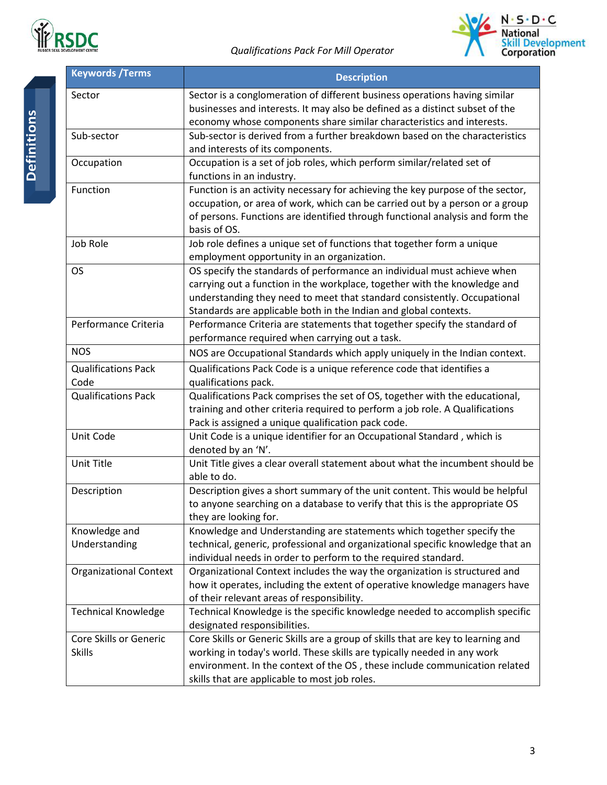



| <b>Keywords /Terms</b>                  | <b>Description</b>                                                                                                                                                                                                                                                                                   |  |
|-----------------------------------------|------------------------------------------------------------------------------------------------------------------------------------------------------------------------------------------------------------------------------------------------------------------------------------------------------|--|
| Sector                                  | Sector is a conglomeration of different business operations having similar<br>businesses and interests. It may also be defined as a distinct subset of the<br>economy whose components share similar characteristics and interests.                                                                  |  |
| Sub-sector                              | Sub-sector is derived from a further breakdown based on the characteristics<br>and interests of its components.                                                                                                                                                                                      |  |
| Occupation                              | Occupation is a set of job roles, which perform similar/related set of<br>functions in an industry.                                                                                                                                                                                                  |  |
| Function                                | Function is an activity necessary for achieving the key purpose of the sector,<br>occupation, or area of work, which can be carried out by a person or a group<br>of persons. Functions are identified through functional analysis and form the<br>basis of OS.                                      |  |
| Job Role                                | Job role defines a unique set of functions that together form a unique<br>employment opportunity in an organization.                                                                                                                                                                                 |  |
| OS                                      | OS specify the standards of performance an individual must achieve when<br>carrying out a function in the workplace, together with the knowledge and<br>understanding they need to meet that standard consistently. Occupational<br>Standards are applicable both in the Indian and global contexts. |  |
| Performance Criteria                    | Performance Criteria are statements that together specify the standard of<br>performance required when carrying out a task.                                                                                                                                                                          |  |
| <b>NOS</b>                              | NOS are Occupational Standards which apply uniquely in the Indian context.                                                                                                                                                                                                                           |  |
| <b>Qualifications Pack</b>              | Qualifications Pack Code is a unique reference code that identifies a                                                                                                                                                                                                                                |  |
| Code                                    | qualifications pack.                                                                                                                                                                                                                                                                                 |  |
| <b>Qualifications Pack</b>              | Qualifications Pack comprises the set of OS, together with the educational,<br>training and other criteria required to perform a job role. A Qualifications<br>Pack is assigned a unique qualification pack code.                                                                                    |  |
| Unit Code                               | Unit Code is a unique identifier for an Occupational Standard, which is<br>denoted by an 'N'.                                                                                                                                                                                                        |  |
| Unit Title                              | Unit Title gives a clear overall statement about what the incumbent should be<br>able to do.                                                                                                                                                                                                         |  |
| Description                             | Description gives a short summary of the unit content. This would be helpful<br>to anyone searching on a database to verify that this is the appropriate OS<br>they are looking for.                                                                                                                 |  |
| Knowledge and<br>Understanding          | Knowledge and Understanding are statements which together specify the<br>technical, generic, professional and organizational specific knowledge that an<br>individual needs in order to perform to the required standard.                                                                            |  |
| <b>Organizational Context</b>           | Organizational Context includes the way the organization is structured and<br>how it operates, including the extent of operative knowledge managers have<br>of their relevant areas of responsibility.                                                                                               |  |
| <b>Technical Knowledge</b>              | Technical Knowledge is the specific knowledge needed to accomplish specific<br>designated responsibilities.                                                                                                                                                                                          |  |
| Core Skills or Generic<br><b>Skills</b> | Core Skills or Generic Skills are a group of skills that are key to learning and<br>working in today's world. These skills are typically needed in any work<br>environment. In the context of the OS, these include communication related<br>skills that are applicable to most job roles.           |  |

Definitions **Definitions**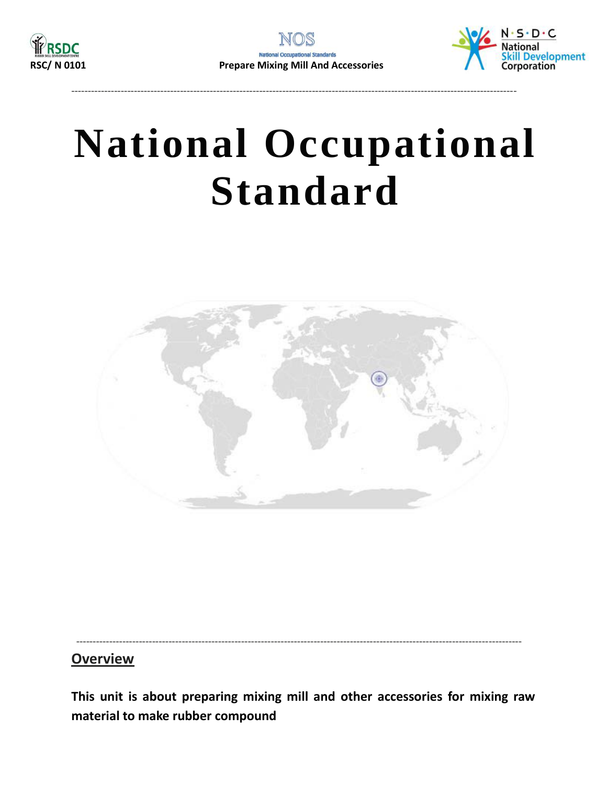<span id="page-3-0"></span>

---------------------------------------------------------------------------------------------------------------------------------------



## **National Occupational Standard**



#### ---------------------------------------------------------------------------------------------------------------------------------------

#### **Overview**

**This unit is about preparing mixing mill and other accessories for mixing raw material to make rubber compound**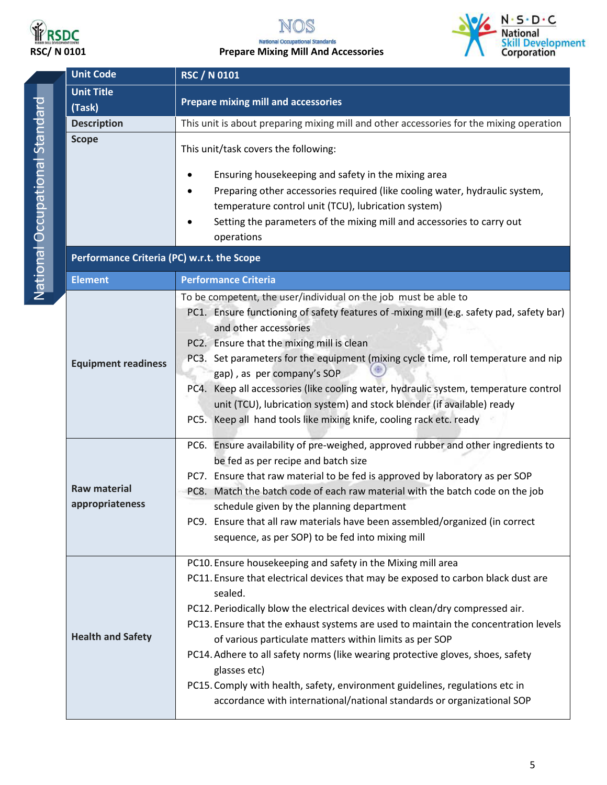

### NOS **RSDC**<br>RSC/ N 0101 Prepare Mixing Mill And Accessories



<span id="page-4-0"></span>

|  | <b>Unit Code</b>                           | <b>RSC / N 0101</b>                                                                                                                                           |  |  |
|--|--------------------------------------------|---------------------------------------------------------------------------------------------------------------------------------------------------------------|--|--|
|  | <b>Unit Title</b>                          |                                                                                                                                                               |  |  |
|  | (Task)                                     | <b>Prepare mixing mill and accessories</b>                                                                                                                    |  |  |
|  | <b>Description</b>                         | This unit is about preparing mixing mill and other accessories for the mixing operation                                                                       |  |  |
|  | <b>Scope</b>                               | This unit/task covers the following:                                                                                                                          |  |  |
|  |                                            | Ensuring housekeeping and safety in the mixing area                                                                                                           |  |  |
|  |                                            | Preparing other accessories required (like cooling water, hydraulic system,                                                                                   |  |  |
|  |                                            | temperature control unit (TCU), lubrication system)                                                                                                           |  |  |
|  |                                            | Setting the parameters of the mixing mill and accessories to carry out                                                                                        |  |  |
|  |                                            | operations                                                                                                                                                    |  |  |
|  | Performance Criteria (PC) w.r.t. the Scope |                                                                                                                                                               |  |  |
|  | <b>Element</b>                             | <b>Performance Criteria</b>                                                                                                                                   |  |  |
|  |                                            | To be competent, the user/individual on the job must be able to                                                                                               |  |  |
|  |                                            | PC1. Ensure functioning of safety features of -mixing mill (e.g. safety pad, safety bar)                                                                      |  |  |
|  |                                            | and other accessories                                                                                                                                         |  |  |
|  |                                            | PC2. Ensure that the mixing mill is clean                                                                                                                     |  |  |
|  | <b>Equipment readiness</b>                 | PC3. Set parameters for the equipment (mixing cycle time, roll temperature and nip                                                                            |  |  |
|  |                                            | gap), as per company's SOP<br>PC4. Keep all accessories (like cooling water, hydraulic system, temperature control                                            |  |  |
|  |                                            | unit (TCU), lubrication system) and stock blender (if available) ready                                                                                        |  |  |
|  |                                            | PC5. Keep all hand tools like mixing knife, cooling rack etc. ready                                                                                           |  |  |
|  |                                            |                                                                                                                                                               |  |  |
|  |                                            | PC6. Ensure availability of pre-weighed, approved rubber and other ingredients to                                                                             |  |  |
|  | <b>Raw material</b><br>appropriateness     | be fed as per recipe and batch size                                                                                                                           |  |  |
|  |                                            | PC7. Ensure that raw material to be fed is approved by laboratory as per SOP<br>PC8. Match the batch code of each raw material with the batch code on the job |  |  |
|  |                                            | schedule given by the planning department                                                                                                                     |  |  |
|  |                                            | PC9. Ensure that all raw materials have been assembled/organized (in correct                                                                                  |  |  |
|  |                                            | sequence, as per SOP) to be fed into mixing mill                                                                                                              |  |  |
|  |                                            |                                                                                                                                                               |  |  |
|  |                                            | PC10. Ensure housekeeping and safety in the Mixing mill area                                                                                                  |  |  |
|  |                                            | PC11. Ensure that electrical devices that may be exposed to carbon black dust are<br>sealed.                                                                  |  |  |
|  |                                            | PC12. Periodically blow the electrical devices with clean/dry compressed air.                                                                                 |  |  |
|  |                                            | PC13. Ensure that the exhaust systems are used to maintain the concentration levels                                                                           |  |  |
|  | <b>Health and Safety</b>                   | of various particulate matters within limits as per SOP                                                                                                       |  |  |
|  |                                            | PC14. Adhere to all safety norms (like wearing protective gloves, shoes, safety                                                                               |  |  |
|  |                                            | glasses etc)                                                                                                                                                  |  |  |
|  |                                            | PC15. Comply with health, safety, environment guidelines, regulations etc in                                                                                  |  |  |
|  |                                            | accordance with international/national standards or organizational SOP                                                                                        |  |  |
|  |                                            |                                                                                                                                                               |  |  |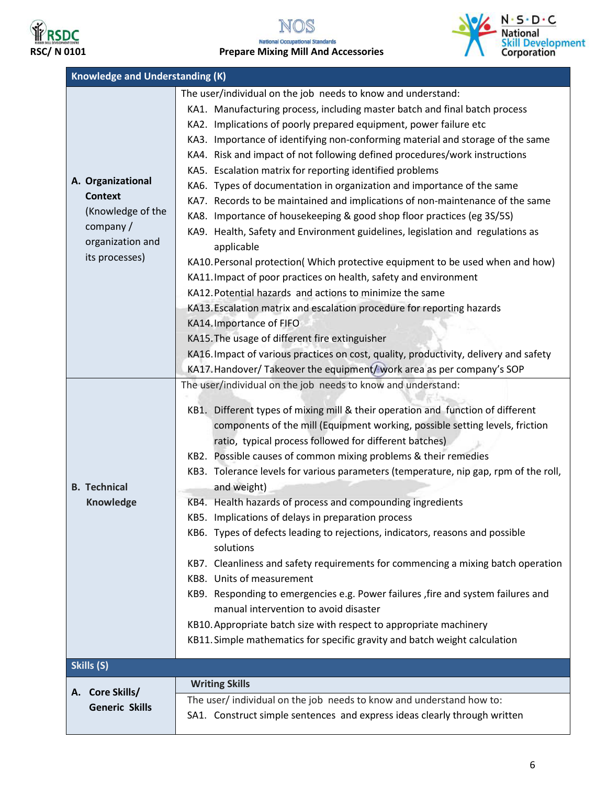

### NOS **RSDC**<br>RSC/ N 0101 Prepare Mixing Mill And Accessories



| <b>Knowledge and Understanding (K)</b>                                                                                                          |                                                                                                                                                                                                                                                                                                                                                                                                                                                                                                                                                                                                                                                                                                                                                                                                                                                                                                                                                                                                                                                                                                                                                                                                                                                                                                                                                                                                                                                                                                                                                                                                                                                                                                                                                                                                                                                                                                                                                                                                                                                                                                                                        |  |
|-------------------------------------------------------------------------------------------------------------------------------------------------|----------------------------------------------------------------------------------------------------------------------------------------------------------------------------------------------------------------------------------------------------------------------------------------------------------------------------------------------------------------------------------------------------------------------------------------------------------------------------------------------------------------------------------------------------------------------------------------------------------------------------------------------------------------------------------------------------------------------------------------------------------------------------------------------------------------------------------------------------------------------------------------------------------------------------------------------------------------------------------------------------------------------------------------------------------------------------------------------------------------------------------------------------------------------------------------------------------------------------------------------------------------------------------------------------------------------------------------------------------------------------------------------------------------------------------------------------------------------------------------------------------------------------------------------------------------------------------------------------------------------------------------------------------------------------------------------------------------------------------------------------------------------------------------------------------------------------------------------------------------------------------------------------------------------------------------------------------------------------------------------------------------------------------------------------------------------------------------------------------------------------------------|--|
| A. Organizational<br><b>Context</b><br>(Knowledge of the<br>company /<br>organization and<br>its processes)<br><b>B.</b> Technical<br>Knowledge | The user/individual on the job needs to know and understand:<br>KA1. Manufacturing process, including master batch and final batch process<br>KA2. Implications of poorly prepared equipment, power failure etc<br>KA3. Importance of identifying non-conforming material and storage of the same<br>KA4. Risk and impact of not following defined procedures/work instructions<br>KA5. Escalation matrix for reporting identified problems<br>KA6. Types of documentation in organization and importance of the same<br>KA7. Records to be maintained and implications of non-maintenance of the same<br>KA8. Importance of housekeeping & good shop floor practices (eg 3S/5S)<br>KA9. Health, Safety and Environment guidelines, legislation and regulations as<br>applicable<br>KA10. Personal protection(Which protective equipment to be used when and how)<br>KA11. Impact of poor practices on health, safety and environment<br>KA12. Potential hazards and actions to minimize the same<br>KA13. Escalation matrix and escalation procedure for reporting hazards<br>KA14. Importance of FIFO<br>KA15. The usage of different fire extinguisher<br>KA16. Impact of various practices on cost, quality, productivity, delivery and safety<br>KA17. Handover/ Takeover the equipment/ work area as per company's SOP<br>The user/individual on the job needs to know and understand:<br>KB1. Different types of mixing mill & their operation and function of different<br>components of the mill (Equipment working, possible setting levels, friction<br>ratio, typical process followed for different batches)<br>KB2. Possible causes of common mixing problems & their remedies<br>KB3. Tolerance levels for various parameters (temperature, nip gap, rpm of the roll,<br>and weight)<br>KB4. Health hazards of process and compounding ingredients<br>KB5. Implications of delays in preparation process<br>KB6. Types of defects leading to rejections, indicators, reasons and possible<br>solutions<br>KB7. Cleanliness and safety requirements for commencing a mixing batch operation<br>KB8. Units of measurement |  |
|                                                                                                                                                 | KB9. Responding to emergencies e.g. Power failures , fire and system failures and<br>manual intervention to avoid disaster<br>KB10. Appropriate batch size with respect to appropriate machinery                                                                                                                                                                                                                                                                                                                                                                                                                                                                                                                                                                                                                                                                                                                                                                                                                                                                                                                                                                                                                                                                                                                                                                                                                                                                                                                                                                                                                                                                                                                                                                                                                                                                                                                                                                                                                                                                                                                                       |  |
|                                                                                                                                                 | KB11. Simple mathematics for specific gravity and batch weight calculation                                                                                                                                                                                                                                                                                                                                                                                                                                                                                                                                                                                                                                                                                                                                                                                                                                                                                                                                                                                                                                                                                                                                                                                                                                                                                                                                                                                                                                                                                                                                                                                                                                                                                                                                                                                                                                                                                                                                                                                                                                                             |  |
| Skills (S)                                                                                                                                      | <b>Writing Skills</b>                                                                                                                                                                                                                                                                                                                                                                                                                                                                                                                                                                                                                                                                                                                                                                                                                                                                                                                                                                                                                                                                                                                                                                                                                                                                                                                                                                                                                                                                                                                                                                                                                                                                                                                                                                                                                                                                                                                                                                                                                                                                                                                  |  |
| A. Core Skills/<br><b>Generic Skills</b>                                                                                                        | The user/ individual on the job needs to know and understand how to:<br>SA1. Construct simple sentences and express ideas clearly through written                                                                                                                                                                                                                                                                                                                                                                                                                                                                                                                                                                                                                                                                                                                                                                                                                                                                                                                                                                                                                                                                                                                                                                                                                                                                                                                                                                                                                                                                                                                                                                                                                                                                                                                                                                                                                                                                                                                                                                                      |  |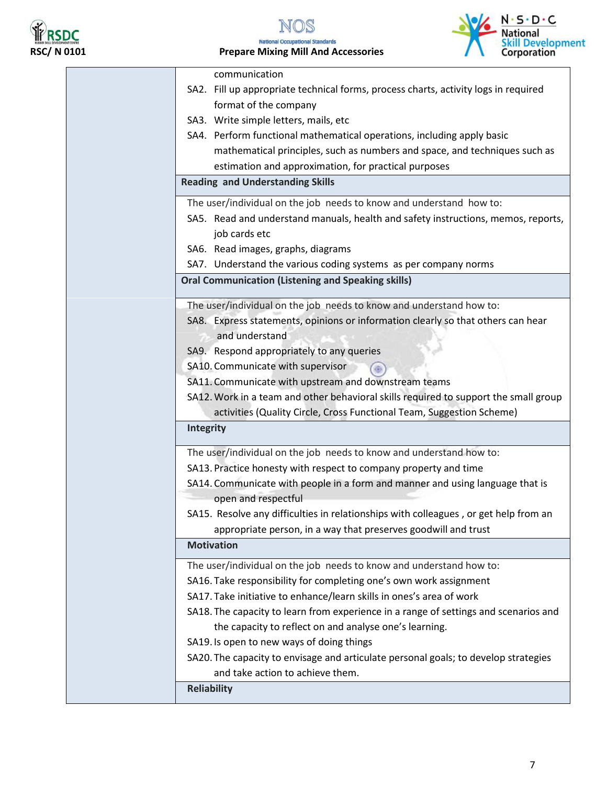

N DS **RSDC**<br>RSC/ N 0101 Prepare Mixing Mill And Accessories



| communication                                                                        |
|--------------------------------------------------------------------------------------|
| SA2. Fill up appropriate technical forms, process charts, activity logs in required  |
| format of the company                                                                |
| SA3. Write simple letters, mails, etc                                                |
| SA4. Perform functional mathematical operations, including apply basic               |
| mathematical principles, such as numbers and space, and techniques such as           |
| estimation and approximation, for practical purposes                                 |
| <b>Reading and Understanding Skills</b>                                              |
| The user/individual on the job needs to know and understand how to:                  |
| SA5. Read and understand manuals, health and safety instructions, memos, reports,    |
| job cards etc                                                                        |
| SA6. Read images, graphs, diagrams                                                   |
| SA7. Understand the various coding systems as per company norms                      |
| <b>Oral Communication (Listening and Speaking skills)</b>                            |
|                                                                                      |
| The user/individual on the job needs to know and understand how to:                  |
| SA8. Express statements, opinions or information clearly so that others can hear     |
| and understand                                                                       |
| SA9. Respond appropriately to any queries                                            |
| SA10. Communicate with supervisor                                                    |
| SA11. Communicate with upstream and downstream teams                                 |
| SA12. Work in a team and other behavioral skills required to support the small group |
| activities (Quality Circle, Cross Functional Team, Suggestion Scheme)                |
| Integrity                                                                            |
| The user/individual on the job needs to know and understand how to:                  |
| SA13. Practice honesty with respect to company property and time                     |
| SA14. Communicate with people in a form and manner and using language that is        |
| open and respectful                                                                  |
| SA15. Resolve any difficulties in relationships with colleagues, or get help from an |
| appropriate person, in a way that preserves goodwill and trust                       |
| <b>Motivation</b>                                                                    |
| The user/individual on the job needs to know and understand how to:                  |
| SA16. Take responsibility for completing one's own work assignment                   |
| SA17. Take initiative to enhance/learn skills in ones's area of work                 |
| SA18. The capacity to learn from experience in a range of settings and scenarios and |
| the capacity to reflect on and analyse one's learning.                               |
| SA19. Is open to new ways of doing things                                            |
| SA20. The capacity to envisage and articulate personal goals; to develop strategies  |
| and take action to achieve them.                                                     |
|                                                                                      |
| <b>Reliability</b>                                                                   |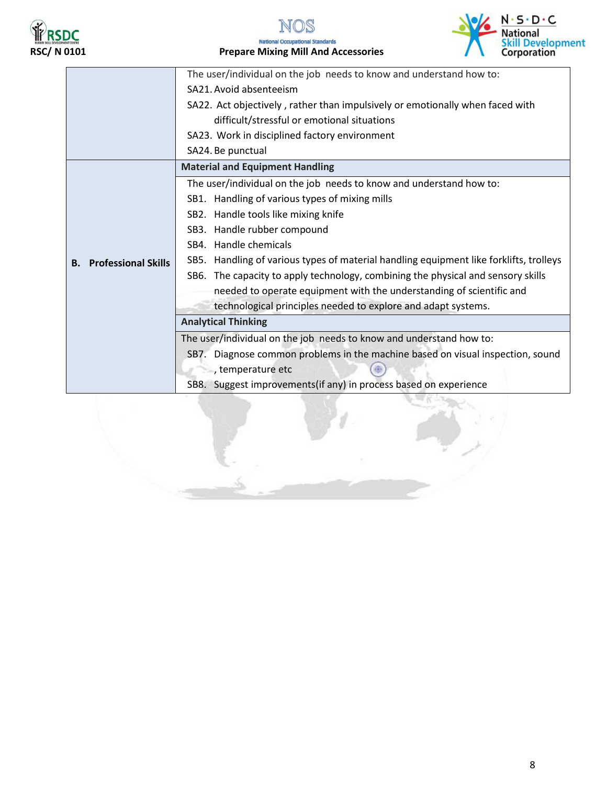





|                                  | The user/individual on the job needs to know and understand how to:                    |
|----------------------------------|----------------------------------------------------------------------------------------|
|                                  | SA21. Avoid absenteeism                                                                |
|                                  | SA22. Act objectively, rather than impulsively or emotionally when faced with          |
|                                  | difficult/stressful or emotional situations                                            |
|                                  | SA23. Work in disciplined factory environment                                          |
|                                  | SA24. Be punctual                                                                      |
|                                  | <b>Material and Equipment Handling</b>                                                 |
|                                  | The user/individual on the job needs to know and understand how to:                    |
|                                  | SB1. Handling of various types of mixing mills                                         |
|                                  | SB2. Handle tools like mixing knife                                                    |
|                                  | SB3. Handle rubber compound                                                            |
|                                  | SB4. Handle chemicals                                                                  |
| <b>Professional Skills</b><br>В. | SB5. Handling of various types of material handling equipment like forklifts, trolleys |
|                                  | SB6. The capacity to apply technology, combining the physical and sensory skills       |
|                                  | needed to operate equipment with the understanding of scientific and                   |
|                                  | technological principles needed to explore and adapt systems.                          |
|                                  | <b>Analytical Thinking</b>                                                             |
|                                  | The user/individual on the job needs to know and understand how to:                    |
|                                  | SB7. Diagnose common problems in the machine based on visual inspection, sound         |
|                                  | , temperature etc                                                                      |
|                                  | SB8. Suggest improvements(if any) in process based on experience                       |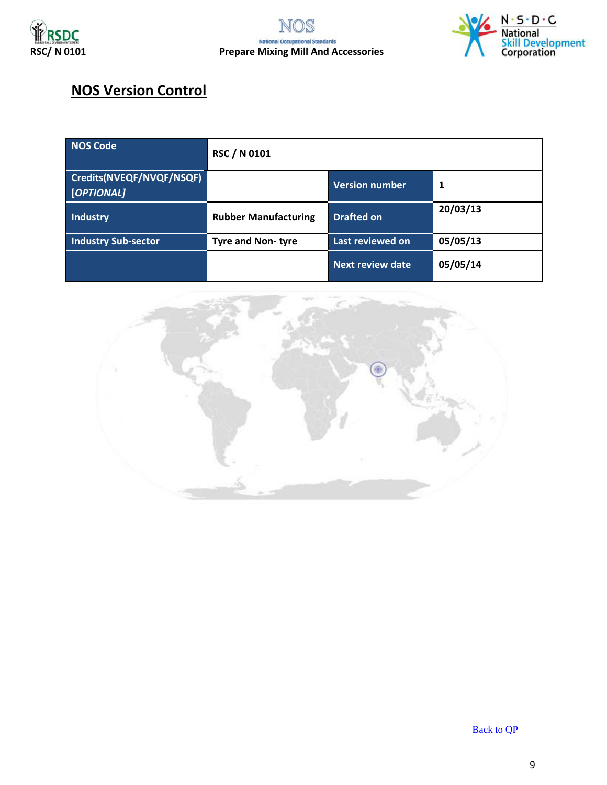



#### **NOS Version Control**

| <b>NOS Code</b>                        | <b>RSC / N 0101</b>         |                         |          |
|----------------------------------------|-----------------------------|-------------------------|----------|
| Credits(NVEQF/NVQF/NSQF)<br>[OPTIONAL] |                             | <b>Version number</b>   | 1        |
| Industry                               | <b>Rubber Manufacturing</b> | <b>Drafted on</b>       | 20/03/13 |
| Industry Sub-sector                    | <b>Tyre and Non-tyre</b>    | Last reviewed on        | 05/05/13 |
|                                        |                             | <b>Next review date</b> | 05/05/14 |



[Back to QP](#page-1-0)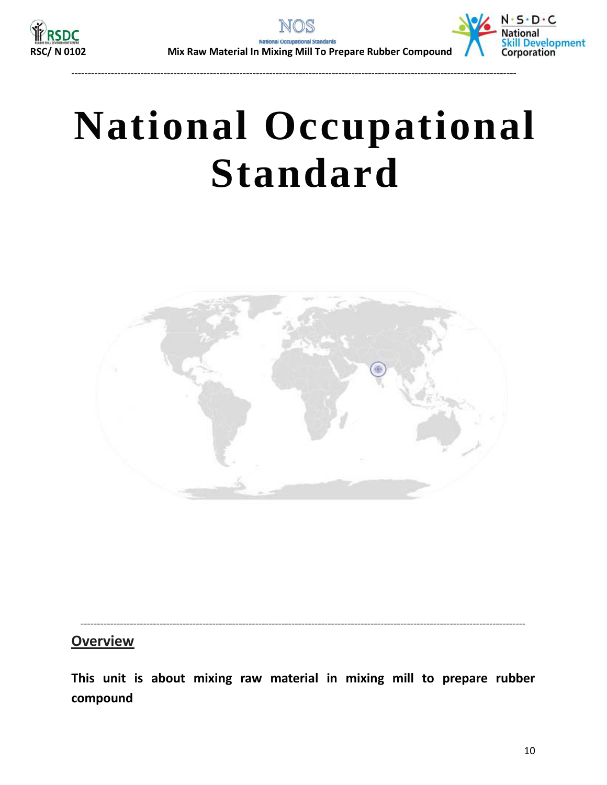<span id="page-9-0"></span>

---------------------------------------------------------------------------------------------------------------------------------------



# **National Occupational Standard**



---------------------------------------------------------------------------------------------------------------------------------------

#### **Overview**

**This unit is about mixing raw material in mixing mill to prepare rubber compound**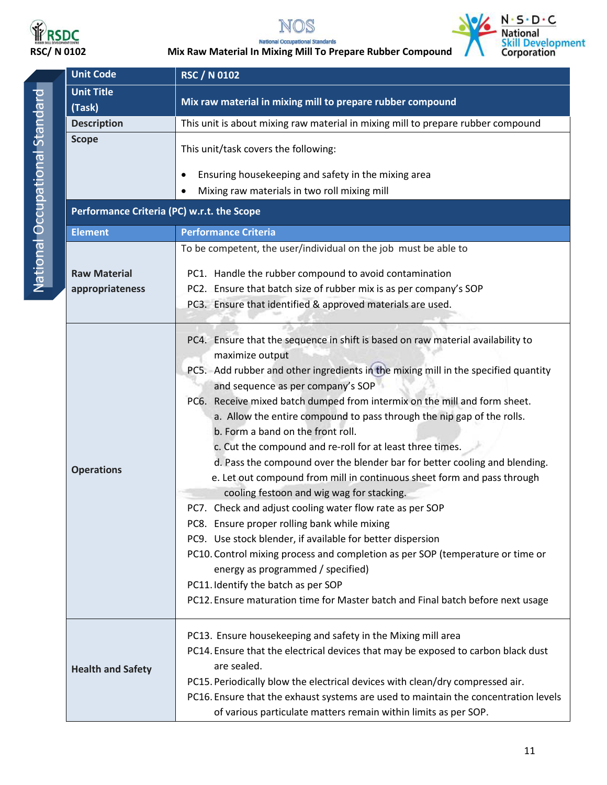

NOS





**RSCC MIX RAW MATER ISSUES**<br>RSC/ N 0102 Mix Raw Material In Mixing Mill To Prepare Rubber Compound

|  | <b>Unit Code</b>                           | <b>RSC / N 0102</b>                                                                                                                                                                                                                                                                                                                                                                                                                                                                                                                                                                                                                                                                                                                                                                                                                                                                                                                                                                                                                                                                                                     |  |  |
|--|--------------------------------------------|-------------------------------------------------------------------------------------------------------------------------------------------------------------------------------------------------------------------------------------------------------------------------------------------------------------------------------------------------------------------------------------------------------------------------------------------------------------------------------------------------------------------------------------------------------------------------------------------------------------------------------------------------------------------------------------------------------------------------------------------------------------------------------------------------------------------------------------------------------------------------------------------------------------------------------------------------------------------------------------------------------------------------------------------------------------------------------------------------------------------------|--|--|
|  | <b>Unit Title</b>                          | Mix raw material in mixing mill to prepare rubber compound                                                                                                                                                                                                                                                                                                                                                                                                                                                                                                                                                                                                                                                                                                                                                                                                                                                                                                                                                                                                                                                              |  |  |
|  | (Task)                                     |                                                                                                                                                                                                                                                                                                                                                                                                                                                                                                                                                                                                                                                                                                                                                                                                                                                                                                                                                                                                                                                                                                                         |  |  |
|  | <b>Description</b>                         | This unit is about mixing raw material in mixing mill to prepare rubber compound                                                                                                                                                                                                                                                                                                                                                                                                                                                                                                                                                                                                                                                                                                                                                                                                                                                                                                                                                                                                                                        |  |  |
|  | <b>Scope</b>                               | This unit/task covers the following:                                                                                                                                                                                                                                                                                                                                                                                                                                                                                                                                                                                                                                                                                                                                                                                                                                                                                                                                                                                                                                                                                    |  |  |
|  |                                            | Ensuring housekeeping and safety in the mixing area<br>٠                                                                                                                                                                                                                                                                                                                                                                                                                                                                                                                                                                                                                                                                                                                                                                                                                                                                                                                                                                                                                                                                |  |  |
|  |                                            | Mixing raw materials in two roll mixing mill                                                                                                                                                                                                                                                                                                                                                                                                                                                                                                                                                                                                                                                                                                                                                                                                                                                                                                                                                                                                                                                                            |  |  |
|  | Performance Criteria (PC) w.r.t. the Scope |                                                                                                                                                                                                                                                                                                                                                                                                                                                                                                                                                                                                                                                                                                                                                                                                                                                                                                                                                                                                                                                                                                                         |  |  |
|  | <b>Element</b>                             | <b>Performance Criteria</b>                                                                                                                                                                                                                                                                                                                                                                                                                                                                                                                                                                                                                                                                                                                                                                                                                                                                                                                                                                                                                                                                                             |  |  |
|  |                                            | To be competent, the user/individual on the job must be able to                                                                                                                                                                                                                                                                                                                                                                                                                                                                                                                                                                                                                                                                                                                                                                                                                                                                                                                                                                                                                                                         |  |  |
|  | <b>Raw Material</b>                        | PC1. Handle the rubber compound to avoid contamination                                                                                                                                                                                                                                                                                                                                                                                                                                                                                                                                                                                                                                                                                                                                                                                                                                                                                                                                                                                                                                                                  |  |  |
|  | appropriateness                            | PC2. Ensure that batch size of rubber mix is as per company's SOP                                                                                                                                                                                                                                                                                                                                                                                                                                                                                                                                                                                                                                                                                                                                                                                                                                                                                                                                                                                                                                                       |  |  |
|  |                                            | PC3. Ensure that identified & approved materials are used.                                                                                                                                                                                                                                                                                                                                                                                                                                                                                                                                                                                                                                                                                                                                                                                                                                                                                                                                                                                                                                                              |  |  |
|  |                                            |                                                                                                                                                                                                                                                                                                                                                                                                                                                                                                                                                                                                                                                                                                                                                                                                                                                                                                                                                                                                                                                                                                                         |  |  |
|  | <b>Operations</b>                          | PC4. Ensure that the sequence in shift is based on raw material availability to<br>maximize output<br>PC5. Add rubber and other ingredients in the mixing mill in the specified quantity<br>and sequence as per company's SOP<br>PC6. Receive mixed batch dumped from intermix on the mill and form sheet.<br>a. Allow the entire compound to pass through the nip gap of the rolls.<br>b. Form a band on the front roll.<br>c. Cut the compound and re-roll for at least three times.<br>d. Pass the compound over the blender bar for better cooling and blending.<br>e. Let out compound from mill in continuous sheet form and pass through<br>cooling festoon and wig wag for stacking.<br>PC7. Check and adjust cooling water flow rate as per SOP<br>PC8. Ensure proper rolling bank while mixing<br>PC9. Use stock blender, if available for better dispersion<br>PC10. Control mixing process and completion as per SOP (temperature or time or<br>energy as programmed / specified)<br>PC11. Identify the batch as per SOP<br>PC12. Ensure maturation time for Master batch and Final batch before next usage |  |  |
|  | <b>Health and Safety</b>                   | PC13. Ensure housekeeping and safety in the Mixing mill area<br>PC14. Ensure that the electrical devices that may be exposed to carbon black dust<br>are sealed.<br>PC15. Periodically blow the electrical devices with clean/dry compressed air.<br>PC16. Ensure that the exhaust systems are used to maintain the concentration levels<br>of various particulate matters remain within limits as per SOP.                                                                                                                                                                                                                                                                                                                                                                                                                                                                                                                                                                                                                                                                                                             |  |  |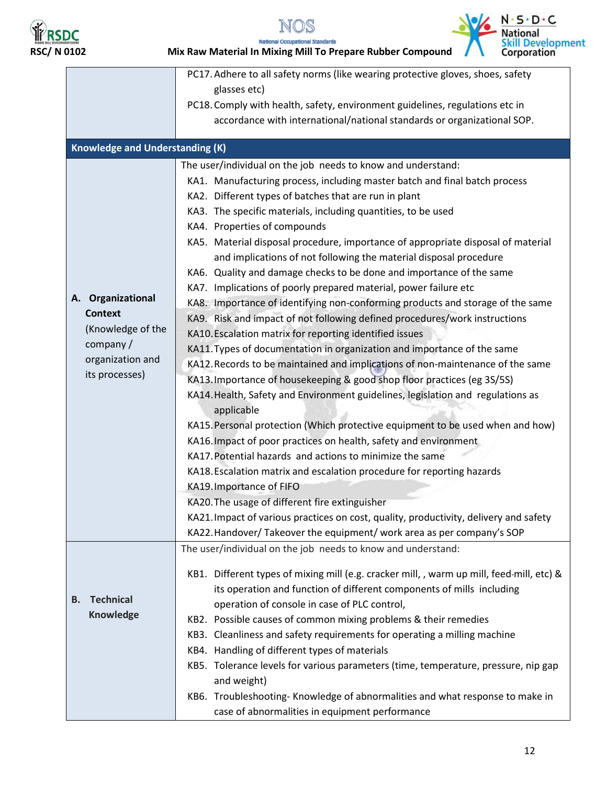







|                                        | PC17. Adhere to all safety norms (like wearing protective gloves, shoes, safety           |
|----------------------------------------|-------------------------------------------------------------------------------------------|
|                                        | glasses etc)                                                                              |
|                                        | PC18. Comply with health, safety, environment guidelines, regulations etc in              |
|                                        | accordance with international/national standards or organizational SOP.                   |
|                                        |                                                                                           |
| <b>Knowledge and Understanding (K)</b> |                                                                                           |
|                                        | The user/individual on the job needs to know and understand:                              |
|                                        | KA1. Manufacturing process, including master batch and final batch process                |
|                                        | KA2. Different types of batches that are run in plant                                     |
|                                        | KA3. The specific materials, including quantities, to be used                             |
|                                        | KA4. Properties of compounds                                                              |
|                                        | KA5. Material disposal procedure, importance of appropriate disposal of material          |
|                                        | and implications of not following the material disposal procedure                         |
|                                        | KA6. Quality and damage checks to be done and importance of the same                      |
|                                        | KA7. Implications of poorly prepared material, power failure etc                          |
| A. Organizational                      | KA8. Importance of identifying non-conforming products and storage of the same            |
| <b>Context</b>                         | KA9. Risk and impact of not following defined procedures/work instructions                |
| (Knowledge of the                      | KA10. Escalation matrix for reporting identified issues                                   |
| company /                              | KA11. Types of documentation in organization and importance of the same                   |
| organization and                       | KA12. Records to be maintained and implications of non-maintenance of the same            |
| its processes)                         | KA13. Importance of housekeeping & good shop floor practices (eg 3S/5S)                   |
|                                        | KA14. Health, Safety and Environment guidelines, legislation and regulations as           |
|                                        | applicable                                                                                |
|                                        | KA15. Personal protection (Which protective equipment to be used when and how)            |
|                                        | KA16. Impact of poor practices on health, safety and environment                          |
|                                        | KA17. Potential hazards and actions to minimize the same                                  |
|                                        | KA18. Escalation matrix and escalation procedure for reporting hazards                    |
|                                        | KA19. Importance of FIFO                                                                  |
|                                        | KA20. The usage of different fire extinguisher                                            |
|                                        | KA21. Impact of various practices on cost, quality, productivity, delivery and safety     |
|                                        | KA22. Handover/Takeover the equipment/ work area as per company's SOP                     |
|                                        | The user/individual on the job needs to know and understand:                              |
|                                        |                                                                                           |
|                                        | KB1. Different types of mixing mill (e.g. cracker mill, , warm up mill, feed-mill, etc) & |
| <b>Technical</b><br><b>B.</b>          | its operation and function of different components of mills including                     |
| <b>Knowledge</b>                       | operation of console in case of PLC control,                                              |
|                                        | KB2. Possible causes of common mixing problems & their remedies                           |
|                                        | KB3. Cleanliness and safety requirements for operating a milling machine                  |
|                                        | KB4. Handling of different types of materials                                             |
|                                        | KB5. Tolerance levels for various parameters (time, temperature, pressure, nip gap        |
|                                        | and weight)                                                                               |
|                                        | KB6. Troubleshooting- Knowledge of abnormalities and what response to make in             |
|                                        | case of abnormalities in equipment performance                                            |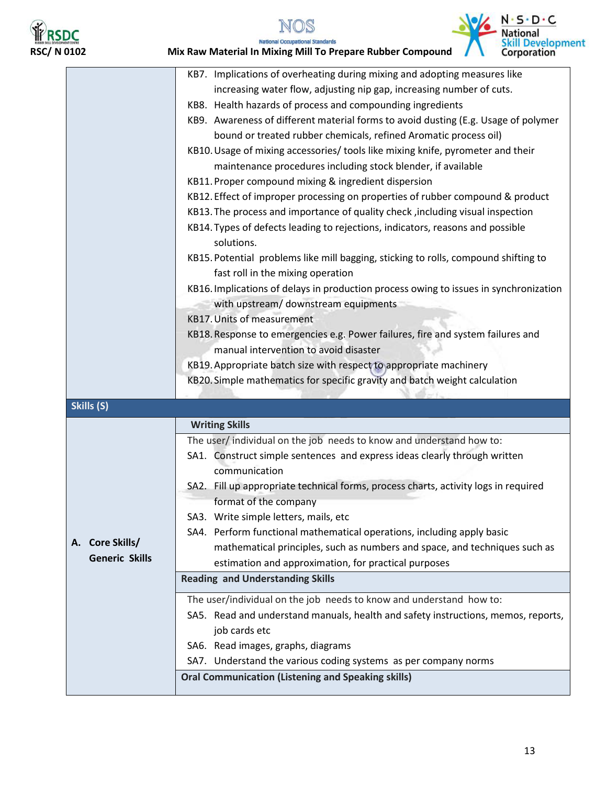



## **RSDC**<br>RSC/ N 0102 Mix Raw Material In Mixing Mill To Prepare Rubber Compound<br>Mix Raw Material In Mixing Mill To Prepare Rubber Compound



|                           | KB7. Implications of overheating during mixing and adopting measures like                                                    |
|---------------------------|------------------------------------------------------------------------------------------------------------------------------|
|                           | increasing water flow, adjusting nip gap, increasing number of cuts.                                                         |
|                           | KB8. Health hazards of process and compounding ingredients                                                                   |
|                           | KB9. Awareness of different material forms to avoid dusting (E.g. Usage of polymer                                           |
|                           | bound or treated rubber chemicals, refined Aromatic process oil)                                                             |
|                           | KB10. Usage of mixing accessories/ tools like mixing knife, pyrometer and their                                              |
|                           | maintenance procedures including stock blender, if available                                                                 |
|                           | KB11. Proper compound mixing & ingredient dispersion                                                                         |
|                           | KB12. Effect of improper processing on properties of rubber compound & product                                               |
|                           | KB13. The process and importance of quality check, including visual inspection                                               |
|                           | KB14. Types of defects leading to rejections, indicators, reasons and possible<br>solutions.                                 |
|                           | KB15. Potential problems like mill bagging, sticking to rolls, compound shifting to                                          |
|                           | fast roll in the mixing operation                                                                                            |
|                           | KB16. Implications of delays in production process owing to issues in synchronization                                        |
|                           | with upstream/ downstream equipments                                                                                         |
|                           | <b>KB17. Units of measurement</b>                                                                                            |
|                           | KB18. Response to emergencies e.g. Power failures, fire and system failures and                                              |
|                           | manual intervention to avoid disaster                                                                                        |
|                           | KB19. Appropriate batch size with respect to appropriate machinery                                                           |
|                           | KB20. Simple mathematics for specific gravity and batch weight calculation                                                   |
|                           |                                                                                                                              |
| Skills (S)                |                                                                                                                              |
|                           | <b>Writing Skills</b>                                                                                                        |
|                           | The user/individual on the job needs to know and understand how to:                                                          |
|                           | SA1. Construct simple sentences and express ideas clearly through written                                                    |
|                           | communication                                                                                                                |
|                           | SA2. Fill up appropriate technical forms, process charts, activity logs in required                                          |
|                           | format of the company                                                                                                        |
|                           | SA3. Write simple letters, mails, etc                                                                                        |
|                           | SA4. Perform functional mathematical operations, including apply basic                                                       |
| <b>Core Skills/</b><br>А. | mathematical principles, such as numbers and space, and techniques such as                                                   |
| <b>Generic Skills</b>     | estimation and approximation, for practical purposes                                                                         |
|                           | <b>Reading and Understanding Skills</b>                                                                                      |
|                           | The user/individual on the job needs to know and understand how to:                                                          |
|                           | SA5. Read and understand manuals, health and safety instructions, memos, reports,                                            |
|                           | job cards etc                                                                                                                |
|                           | SA6. Read images, graphs, diagrams                                                                                           |
|                           |                                                                                                                              |
|                           |                                                                                                                              |
|                           | SA7. Understand the various coding systems as per company norms<br><b>Oral Communication (Listening and Speaking skills)</b> |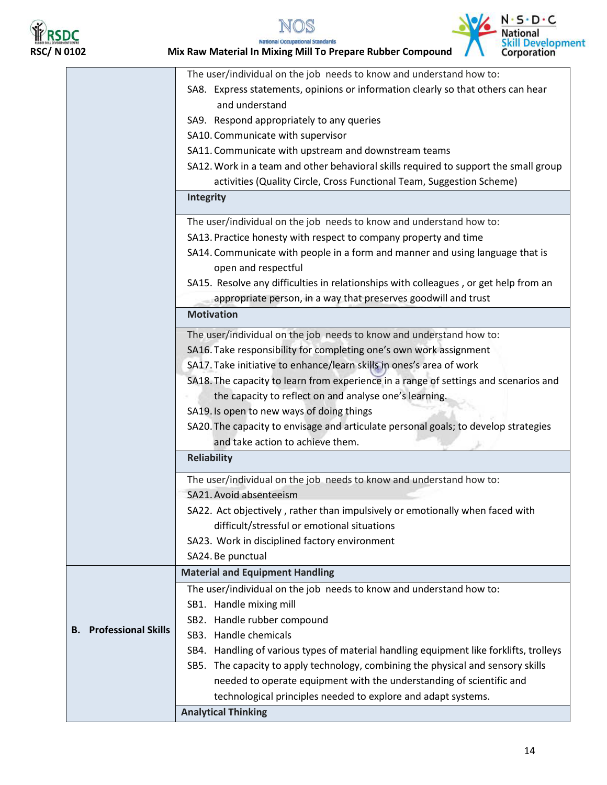

 $\mathbb{R}$ 

## **RSDC**<br>RSC/ N 0102 Mix Raw Material In Mixing Mill To Prepare Rubber Compound



|                               | The user/individual on the job needs to know and understand how to:                    |  |  |
|-------------------------------|----------------------------------------------------------------------------------------|--|--|
|                               | SA8. Express statements, opinions or information clearly so that others can hear       |  |  |
|                               | and understand                                                                         |  |  |
|                               | SA9. Respond appropriately to any queries                                              |  |  |
|                               | SA10. Communicate with supervisor                                                      |  |  |
|                               | SA11. Communicate with upstream and downstream teams                                   |  |  |
|                               | SA12. Work in a team and other behavioral skills required to support the small group   |  |  |
|                               | activities (Quality Circle, Cross Functional Team, Suggestion Scheme)                  |  |  |
|                               | <b>Integrity</b>                                                                       |  |  |
|                               | The user/individual on the job needs to know and understand how to:                    |  |  |
|                               | SA13. Practice honesty with respect to company property and time                       |  |  |
|                               | SA14. Communicate with people in a form and manner and using language that is          |  |  |
|                               | open and respectful                                                                    |  |  |
|                               | SA15. Resolve any difficulties in relationships with colleagues, or get help from an   |  |  |
|                               | appropriate person, in a way that preserves goodwill and trust                         |  |  |
|                               | <b>Motivation</b>                                                                      |  |  |
|                               | The user/individual on the job needs to know and understand how to:                    |  |  |
|                               | SA16. Take responsibility for completing one's own work assignment                     |  |  |
|                               | SA17. Take initiative to enhance/learn skills in ones's area of work                   |  |  |
|                               | SA18. The capacity to learn from experience in a range of settings and scenarios and   |  |  |
|                               | the capacity to reflect on and analyse one's learning.                                 |  |  |
|                               | SA19. Is open to new ways of doing things                                              |  |  |
|                               | SA20. The capacity to envisage and articulate personal goals; to develop strategies    |  |  |
|                               | and take action to achieve them.                                                       |  |  |
|                               | <b>Reliability</b>                                                                     |  |  |
|                               | The user/individual on the job needs to know and understand how to:                    |  |  |
|                               | SA21. Avoid absenteeism                                                                |  |  |
|                               | SA22. Act objectively, rather than impulsively or emotionally when faced with          |  |  |
|                               | difficult/stressful or emotional situations                                            |  |  |
|                               | SA23. Work in disciplined factory environment                                          |  |  |
|                               | SA24. Be punctual                                                                      |  |  |
|                               | <b>Material and Equipment Handling</b>                                                 |  |  |
|                               | The user/individual on the job needs to know and understand how to:                    |  |  |
|                               | SB1. Handle mixing mill                                                                |  |  |
|                               | SB2. Handle rubber compound                                                            |  |  |
| <b>B.</b> Professional Skills | SB3. Handle chemicals                                                                  |  |  |
|                               | SB4. Handling of various types of material handling equipment like forklifts, trolleys |  |  |
|                               | SB5. The capacity to apply technology, combining the physical and sensory skills       |  |  |
|                               | needed to operate equipment with the understanding of scientific and                   |  |  |
|                               | technological principles needed to explore and adapt systems.                          |  |  |
|                               |                                                                                        |  |  |
|                               | <b>Analytical Thinking</b>                                                             |  |  |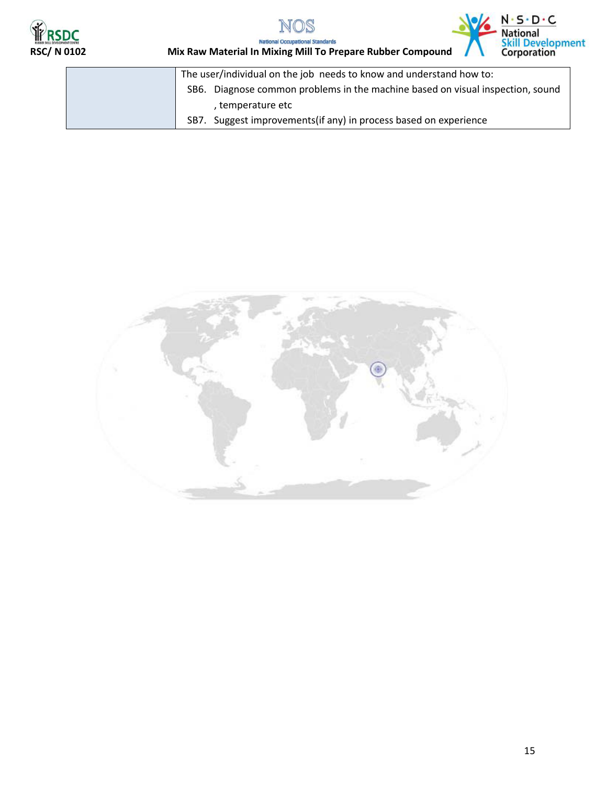





**RSDC**<br>RSC/ N 0102 Mix Raw Material In Mixing Mill To Prepare Rubber Compound<br>RSC/ N 0102 Mix Raw Material In Mixing Mill To Prepare Rubber Compound

| The user/individual on the job needs to know and understand how to:            |
|--------------------------------------------------------------------------------|
| SB6. Diagnose common problems in the machine based on visual inspection, sound |
| , temperature etc                                                              |
| SB7. Suggest improvements (if any) in process based on experience              |

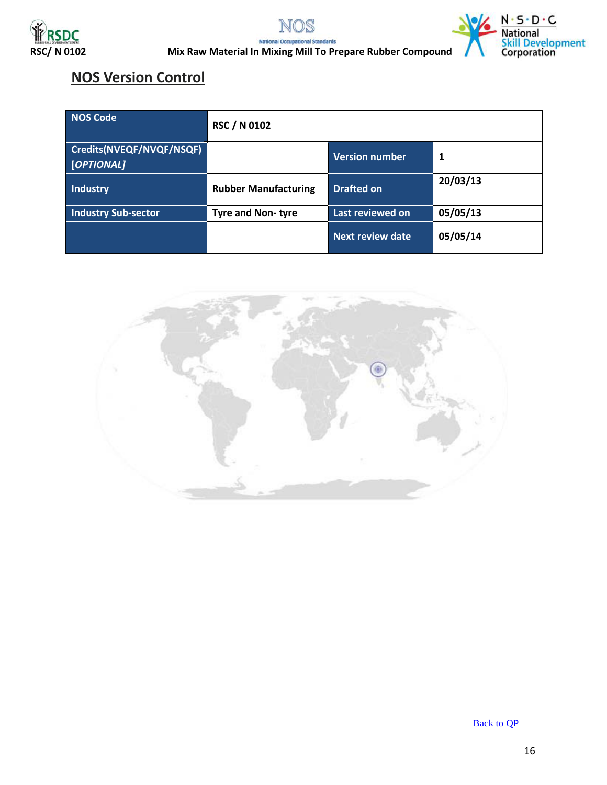





**RSDC**<br>RSC/ N 0102 Mix Raw Material In Mixing Mill To Prepare Rubber Compound<br>Mix Raw Material In Mixing Mill To Prepare Rubber Compound

#### **NOS Version Control**

| NOS Code                               | <b>RSC / N 0102</b>         |                       |          |
|----------------------------------------|-----------------------------|-----------------------|----------|
| Credits(NVEQF/NVQF/NSQF)<br>[OPTIONAL] |                             | <b>Version number</b> | 1        |
| <b>Industry</b>                        | <b>Rubber Manufacturing</b> | <b>Drafted on</b>     | 20/03/13 |
| <b>Industry Sub-sector</b>             | <b>Tyre and Non-tyre</b>    | Last reviewed on      | 05/05/13 |
|                                        |                             | Next review date      | 05/05/14 |



[Back to QP](#page-1-0)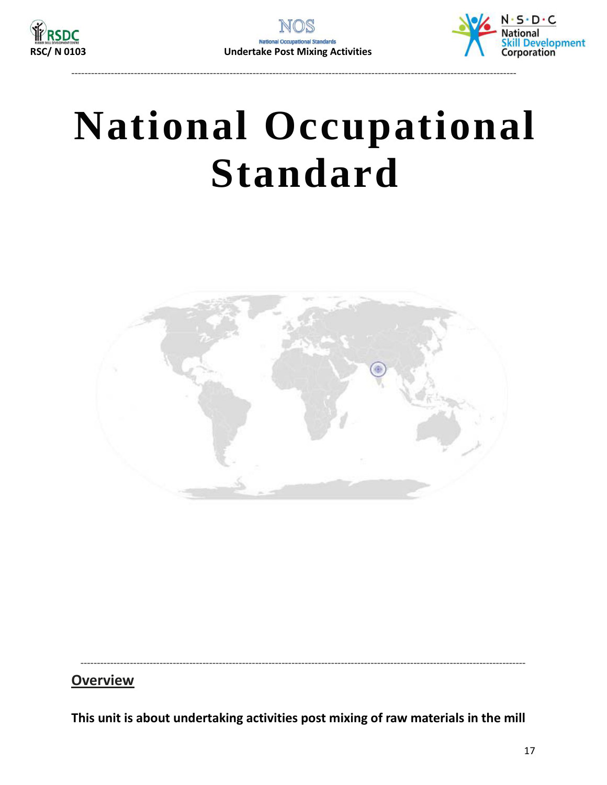<span id="page-16-0"></span>

---------------------------------------------------------------------------------------------------------------------------------------



# **National Occupational Standard**



---------------------------------------------------------------------------------------------------------------------------------------

#### **Overview**

**This unit is about undertaking activities post mixing of raw materials in the mill**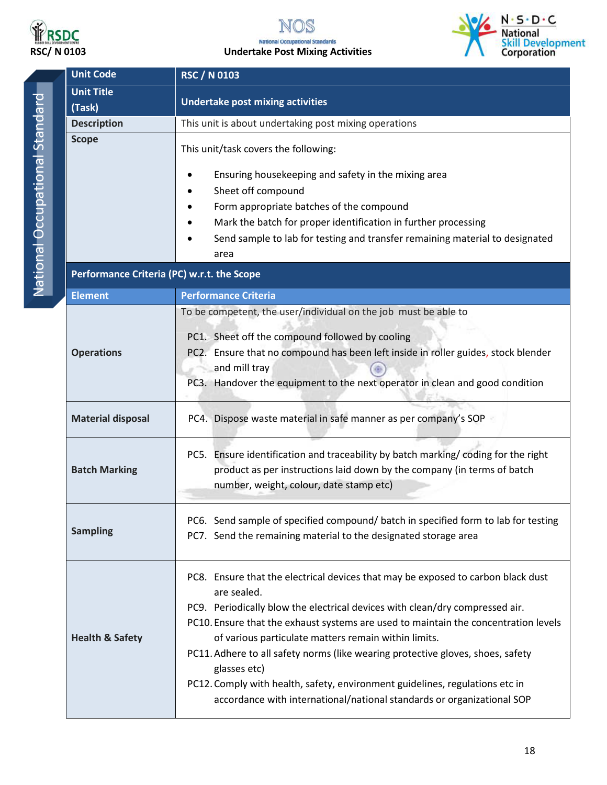

#### S **RSDC**<br>RSC/ N 0103 Undertake Post Mixing Activities



|                                | <b>Unit Code</b>                           | <b>RSC / N 0103</b>                                                                                                                                                                                                                                                                                                                                                                                                                                                                                                                                                                         |  |  |
|--------------------------------|--------------------------------------------|---------------------------------------------------------------------------------------------------------------------------------------------------------------------------------------------------------------------------------------------------------------------------------------------------------------------------------------------------------------------------------------------------------------------------------------------------------------------------------------------------------------------------------------------------------------------------------------------|--|--|
|                                | <b>Unit Title</b><br>(Task)                | <b>Undertake post mixing activities</b>                                                                                                                                                                                                                                                                                                                                                                                                                                                                                                                                                     |  |  |
|                                | <b>Description</b>                         | This unit is about undertaking post mixing operations                                                                                                                                                                                                                                                                                                                                                                                                                                                                                                                                       |  |  |
| National Occupational Standard | <b>Scope</b>                               | This unit/task covers the following:<br>Ensuring housekeeping and safety in the mixing area<br>Sheet off compound<br>Form appropriate batches of the compound<br>Mark the batch for proper identification in further processing<br>Send sample to lab for testing and transfer remaining material to designated<br>area                                                                                                                                                                                                                                                                     |  |  |
|                                | Performance Criteria (PC) w.r.t. the Scope |                                                                                                                                                                                                                                                                                                                                                                                                                                                                                                                                                                                             |  |  |
|                                | <b>Element</b>                             | <b>Performance Criteria</b>                                                                                                                                                                                                                                                                                                                                                                                                                                                                                                                                                                 |  |  |
|                                | <b>Operations</b>                          | To be competent, the user/individual on the job must be able to<br>PC1. Sheet off the compound followed by cooling<br>PC2. Ensure that no compound has been left inside in roller guides, stock blender<br>and mill tray<br>PC3. Handover the equipment to the next operator in clean and good condition                                                                                                                                                                                                                                                                                    |  |  |
|                                | <b>Material disposal</b>                   | PC4. Dispose waste material in safe manner as per company's SOP                                                                                                                                                                                                                                                                                                                                                                                                                                                                                                                             |  |  |
|                                | <b>Batch Marking</b>                       | PC5. Ensure identification and traceability by batch marking/coding for the right<br>product as per instructions laid down by the company (in terms of batch<br>number, weight, colour, date stamp etc)                                                                                                                                                                                                                                                                                                                                                                                     |  |  |
|                                | <b>Sampling</b>                            | PC6. Send sample of specified compound/ batch in specified form to lab for testing<br>PC7. Send the remaining material to the designated storage area                                                                                                                                                                                                                                                                                                                                                                                                                                       |  |  |
|                                | <b>Health &amp; Safety</b>                 | PC8. Ensure that the electrical devices that may be exposed to carbon black dust<br>are sealed.<br>PC9. Periodically blow the electrical devices with clean/dry compressed air.<br>PC10. Ensure that the exhaust systems are used to maintain the concentration levels<br>of various particulate matters remain within limits.<br>PC11. Adhere to all safety norms (like wearing protective gloves, shoes, safety<br>glasses etc)<br>PC12. Comply with health, safety, environment guidelines, regulations etc in<br>accordance with international/national standards or organizational SOP |  |  |

18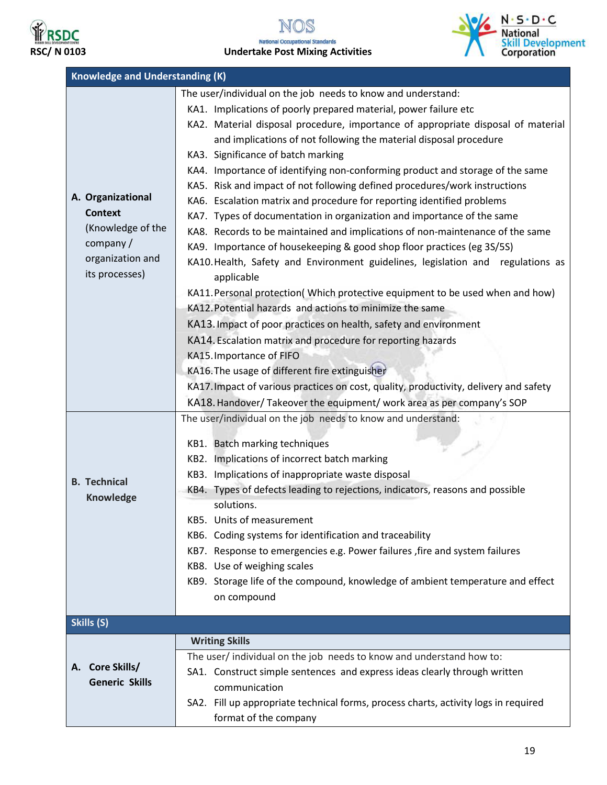

## **RSDC**<br>RSC/ N 0103 **RSC/ N 0103** Undertake Post Mixing Activities



| <b>Knowledge and Understanding (K)</b>                                                                     |                                                                                                                                                                                                                                                                                                                                                                                                                                                                                                                                                                                                                                                                                                                                                                                                                                                                                                                                                                                                                                                              |  |  |  |
|------------------------------------------------------------------------------------------------------------|--------------------------------------------------------------------------------------------------------------------------------------------------------------------------------------------------------------------------------------------------------------------------------------------------------------------------------------------------------------------------------------------------------------------------------------------------------------------------------------------------------------------------------------------------------------------------------------------------------------------------------------------------------------------------------------------------------------------------------------------------------------------------------------------------------------------------------------------------------------------------------------------------------------------------------------------------------------------------------------------------------------------------------------------------------------|--|--|--|
| A. Organizational<br><b>Context</b><br>(Knowledge of the<br>company/<br>organization and<br>its processes) | The user/individual on the job needs to know and understand:<br>KA1. Implications of poorly prepared material, power failure etc<br>KA2. Material disposal procedure, importance of appropriate disposal of material<br>and implications of not following the material disposal procedure<br>KA3. Significance of batch marking<br>KA4. Importance of identifying non-conforming product and storage of the same<br>KA5. Risk and impact of not following defined procedures/work instructions<br>KA6. Escalation matrix and procedure for reporting identified problems<br>KA7. Types of documentation in organization and importance of the same<br>KA8. Records to be maintained and implications of non-maintenance of the same<br>KA9. Importance of housekeeping & good shop floor practices (eg 3S/5S)<br>KA10. Health, Safety and Environment guidelines, legislation and regulations as<br>applicable<br>KA11. Personal protection( Which protective equipment to be used when and how)<br>KA12. Potential hazards and actions to minimize the same |  |  |  |
|                                                                                                            | KA13. Impact of poor practices on health, safety and environment<br>KA14. Escalation matrix and procedure for reporting hazards<br>KA15. Importance of FIFO<br>KA16. The usage of different fire extinguisher<br>KA17. Impact of various practices on cost, quality, productivity, delivery and safety<br>KA18. Handover/ Takeover the equipment/ work area as per company's SOP                                                                                                                                                                                                                                                                                                                                                                                                                                                                                                                                                                                                                                                                             |  |  |  |
| <b>B.</b> Technical<br>Knowledge                                                                           | The user/individual on the job needs to know and understand:<br>KB1. Batch marking techniques<br>KB2. Implications of incorrect batch marking<br>KB3. Implications of inappropriate waste disposal<br>KB4. Types of defects leading to rejections, indicators, reasons and possible<br>solutions.<br>KB5. Units of measurement<br>KB6. Coding systems for identification and traceability<br>KB7. Response to emergencies e.g. Power failures, fire and system failures<br>KB8. Use of weighing scales<br>KB9. Storage life of the compound, knowledge of ambient temperature and effect<br>on compound                                                                                                                                                                                                                                                                                                                                                                                                                                                      |  |  |  |
| Skills (S)                                                                                                 |                                                                                                                                                                                                                                                                                                                                                                                                                                                                                                                                                                                                                                                                                                                                                                                                                                                                                                                                                                                                                                                              |  |  |  |
| <b>Core Skills/</b><br>А.<br><b>Generic Skills</b>                                                         | <b>Writing Skills</b><br>The user/individual on the job needs to know and understand how to:<br>SA1. Construct simple sentences and express ideas clearly through written<br>communication<br>SA2. Fill up appropriate technical forms, process charts, activity logs in required<br>format of the company                                                                                                                                                                                                                                                                                                                                                                                                                                                                                                                                                                                                                                                                                                                                                   |  |  |  |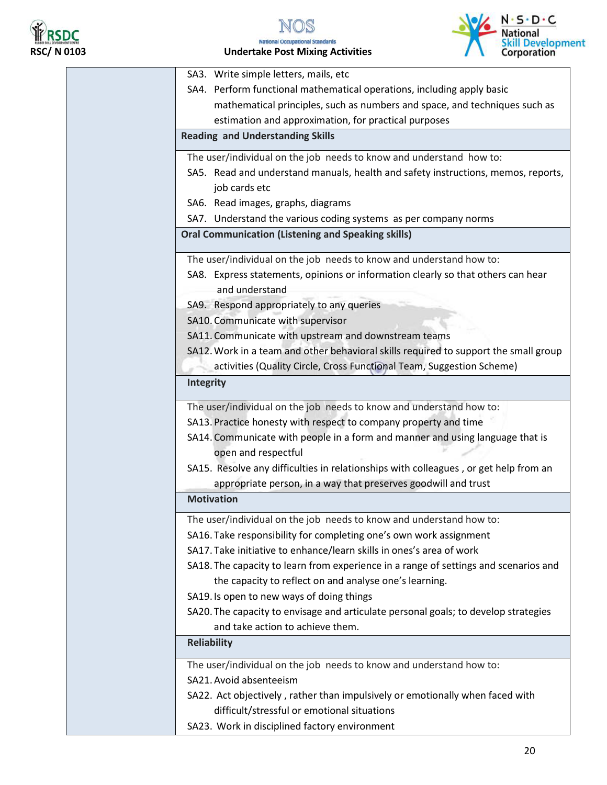



| SA3. Write simple letters, mails, etc                                                |
|--------------------------------------------------------------------------------------|
| SA4. Perform functional mathematical operations, including apply basic               |
| mathematical principles, such as numbers and space, and techniques such as           |
| estimation and approximation, for practical purposes                                 |
| <b>Reading and Understanding Skills</b>                                              |
| The user/individual on the job needs to know and understand how to:                  |
| SA5. Read and understand manuals, health and safety instructions, memos, reports,    |
| job cards etc                                                                        |
| SA6. Read images, graphs, diagrams                                                   |
| SA7. Understand the various coding systems as per company norms                      |
| <b>Oral Communication (Listening and Speaking skills)</b>                            |
| The user/individual on the job needs to know and understand how to:                  |
| SA8. Express statements, opinions or information clearly so that others can hear     |
| and understand                                                                       |
| SA9. Respond appropriately to any queries                                            |
| SA10. Communicate with supervisor                                                    |
| SA11. Communicate with upstream and downstream teams                                 |
| SA12. Work in a team and other behavioral skills required to support the small group |
| activities (Quality Circle, Cross Functional Team, Suggestion Scheme)                |
| Integrity                                                                            |
| The user/individual on the job needs to know and understand how to:                  |
| SA13. Practice honesty with respect to company property and time                     |
| SA14. Communicate with people in a form and manner and using language that is        |
| open and respectful                                                                  |
| SA15. Resolve any difficulties in relationships with colleagues, or get help from an |
| appropriate person, in a way that preserves goodwill and trust                       |
| <b>Motivation</b>                                                                    |
| The user/individual on the job needs to know and understand how to:                  |
| SA16. Take responsibility for completing one's own work assignment                   |
| SA17. Take initiative to enhance/learn skills in ones's area of work                 |
| SA18. The capacity to learn from experience in a range of settings and scenarios and |
| the capacity to reflect on and analyse one's learning.                               |
| SA19. Is open to new ways of doing things                                            |
| SA20. The capacity to envisage and articulate personal goals; to develop strategies  |
| and take action to achieve them.                                                     |
| <b>Reliability</b>                                                                   |
| The user/individual on the job needs to know and understand how to:                  |
| SA21. Avoid absenteeism                                                              |
| SA22. Act objectively, rather than impulsively or emotionally when faced with        |
| difficult/stressful or emotional situations                                          |
| SA23. Work in disciplined factory environment                                        |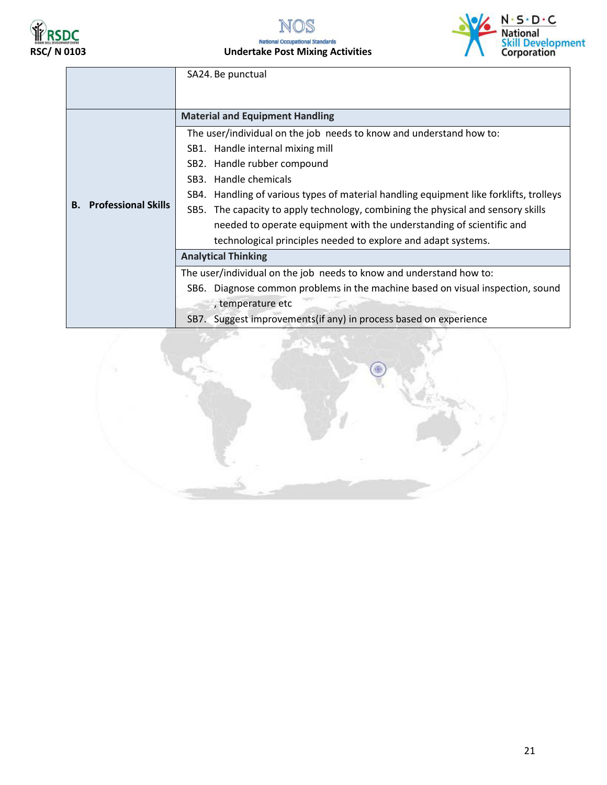





|                                  | SA24. Be punctual                                                                      |  |
|----------------------------------|----------------------------------------------------------------------------------------|--|
|                                  | <b>Material and Equipment Handling</b>                                                 |  |
|                                  | The user/individual on the job needs to know and understand how to:                    |  |
|                                  | SB1. Handle internal mixing mill                                                       |  |
|                                  | SB2. Handle rubber compound                                                            |  |
|                                  | SB3. Handle chemicals                                                                  |  |
|                                  | SB4. Handling of various types of material handling equipment like forklifts, trolleys |  |
| <b>Professional Skills</b><br>В. | SB5. The capacity to apply technology, combining the physical and sensory skills       |  |
|                                  | needed to operate equipment with the understanding of scientific and                   |  |
|                                  | technological principles needed to explore and adapt systems.                          |  |
|                                  | <b>Analytical Thinking</b>                                                             |  |
|                                  | The user/individual on the job needs to know and understand how to:                    |  |
|                                  | SB6. Diagnose common problems in the machine based on visual inspection, sound         |  |
|                                  | , temperature etc                                                                      |  |
|                                  | SB7. Suggest improvements (if any) in process based on experience                      |  |

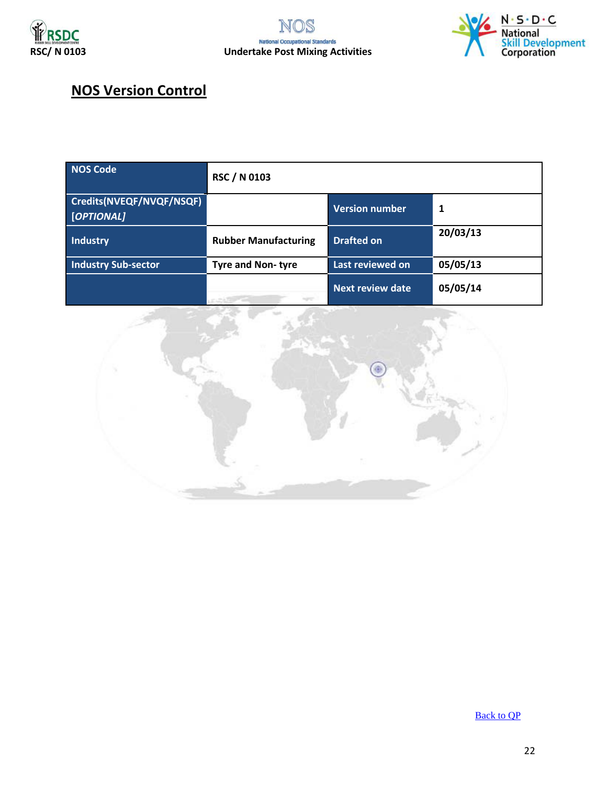



#### **NOS Version Control**

| <b>NOS Code</b>                        | <b>RSC / N 0103</b>         |                         |          |
|----------------------------------------|-----------------------------|-------------------------|----------|
| Credits(NVEQF/NVQF/NSQF)<br>[OPTIONAL] |                             | <b>Version number</b>   | 1        |
| <b>Industry</b>                        | <b>Rubber Manufacturing</b> | <b>Drafted on</b>       | 20/03/13 |
| <b>Industry Sub-sector</b>             | <b>Tyre and Non-tyre</b>    | Last reviewed on        | 05/05/13 |
|                                        |                             | <b>Next review date</b> | 05/05/14 |



[Back to QP](#page-1-0)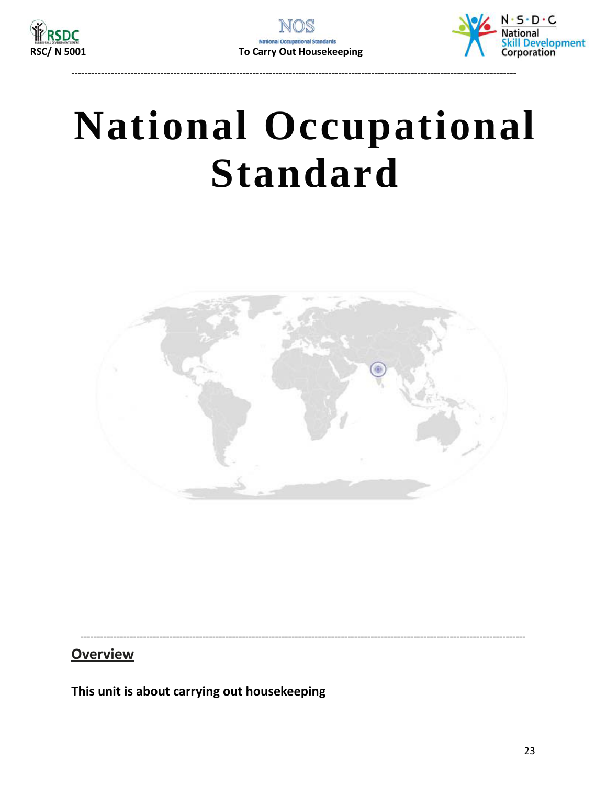



# <span id="page-22-0"></span>**National Occupational Standard**



**Overview** 

This unit is about carrying out housekeeping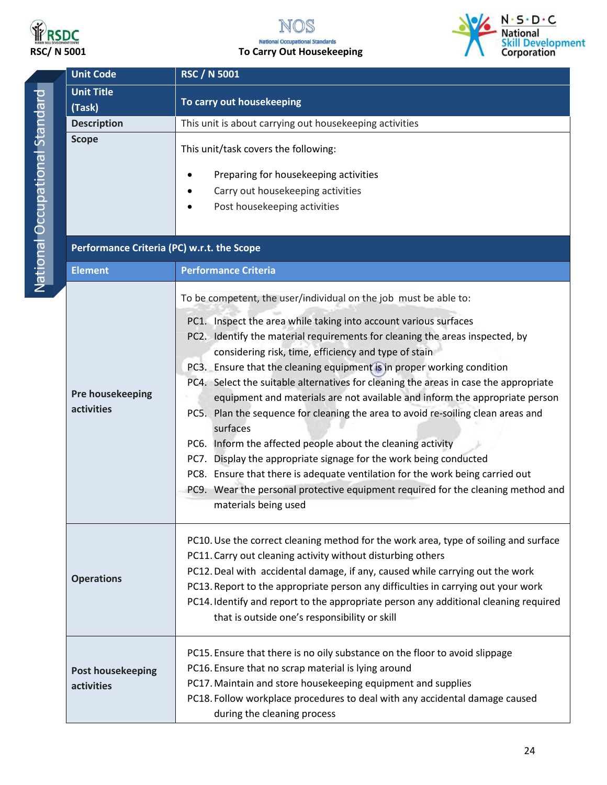

### NOS **RSDC**<br>RSC/ N 5001 To Carry Out Housekeeping



| <b>Unit Code</b>                           | <b>RSC / N 5001</b>                                                                                                                                                                                                                                                                                                                                                                                                                                                                                                                                                                                                                                                                                                                                                                                                                                                                        |  |
|--------------------------------------------|--------------------------------------------------------------------------------------------------------------------------------------------------------------------------------------------------------------------------------------------------------------------------------------------------------------------------------------------------------------------------------------------------------------------------------------------------------------------------------------------------------------------------------------------------------------------------------------------------------------------------------------------------------------------------------------------------------------------------------------------------------------------------------------------------------------------------------------------------------------------------------------------|--|
| <b>Unit Title</b>                          |                                                                                                                                                                                                                                                                                                                                                                                                                                                                                                                                                                                                                                                                                                                                                                                                                                                                                            |  |
| (Task)                                     | To carry out housekeeping                                                                                                                                                                                                                                                                                                                                                                                                                                                                                                                                                                                                                                                                                                                                                                                                                                                                  |  |
| <b>Description</b>                         | This unit is about carrying out housekeeping activities                                                                                                                                                                                                                                                                                                                                                                                                                                                                                                                                                                                                                                                                                                                                                                                                                                    |  |
| <b>Scope</b>                               | This unit/task covers the following:                                                                                                                                                                                                                                                                                                                                                                                                                                                                                                                                                                                                                                                                                                                                                                                                                                                       |  |
|                                            | Preparing for housekeeping activities                                                                                                                                                                                                                                                                                                                                                                                                                                                                                                                                                                                                                                                                                                                                                                                                                                                      |  |
|                                            | Carry out housekeeping activities                                                                                                                                                                                                                                                                                                                                                                                                                                                                                                                                                                                                                                                                                                                                                                                                                                                          |  |
|                                            | Post housekeeping activities                                                                                                                                                                                                                                                                                                                                                                                                                                                                                                                                                                                                                                                                                                                                                                                                                                                               |  |
|                                            |                                                                                                                                                                                                                                                                                                                                                                                                                                                                                                                                                                                                                                                                                                                                                                                                                                                                                            |  |
| Performance Criteria (PC) w.r.t. the Scope |                                                                                                                                                                                                                                                                                                                                                                                                                                                                                                                                                                                                                                                                                                                                                                                                                                                                                            |  |
| <b>Element</b>                             | <b>Performance Criteria</b>                                                                                                                                                                                                                                                                                                                                                                                                                                                                                                                                                                                                                                                                                                                                                                                                                                                                |  |
|                                            | To be competent, the user/individual on the job must be able to:                                                                                                                                                                                                                                                                                                                                                                                                                                                                                                                                                                                                                                                                                                                                                                                                                           |  |
| Pre housekeeping<br>activities             | PC1. Inspect the area while taking into account various surfaces<br>PC2. Identify the material requirements for cleaning the areas inspected, by<br>considering risk, time, efficiency and type of stain<br>PC3. Ensure that the cleaning equipment is in proper working condition<br>PC4. Select the suitable alternatives for cleaning the areas in case the appropriate<br>equipment and materials are not available and inform the appropriate person<br>PC5. Plan the sequence for cleaning the area to avoid re-soiling clean areas and<br>surfaces<br>PC6. Inform the affected people about the cleaning activity<br>PC7. Display the appropriate signage for the work being conducted<br>PC8. Ensure that there is adequate ventilation for the work being carried out<br>PC9. Wear the personal protective equipment required for the cleaning method and<br>materials being used |  |
| <b>Operations</b>                          | PC10. Use the correct cleaning method for the work area, type of soiling and surface<br>PC11. Carry out cleaning activity without disturbing others<br>PC12. Deal with accidental damage, if any, caused while carrying out the work<br>PC13. Report to the appropriate person any difficulties in carrying out your work<br>PC14. Identify and report to the appropriate person any additional cleaning required<br>that is outside one's responsibility or skill                                                                                                                                                                                                                                                                                                                                                                                                                         |  |
| <b>Post housekeeping</b><br>activities     | PC15. Ensure that there is no oily substance on the floor to avoid slippage<br>PC16. Ensure that no scrap material is lying around<br>PC17. Maintain and store housekeeping equipment and supplies<br>PC18. Follow workplace procedures to deal with any accidental damage caused<br>during the cleaning process                                                                                                                                                                                                                                                                                                                                                                                                                                                                                                                                                                           |  |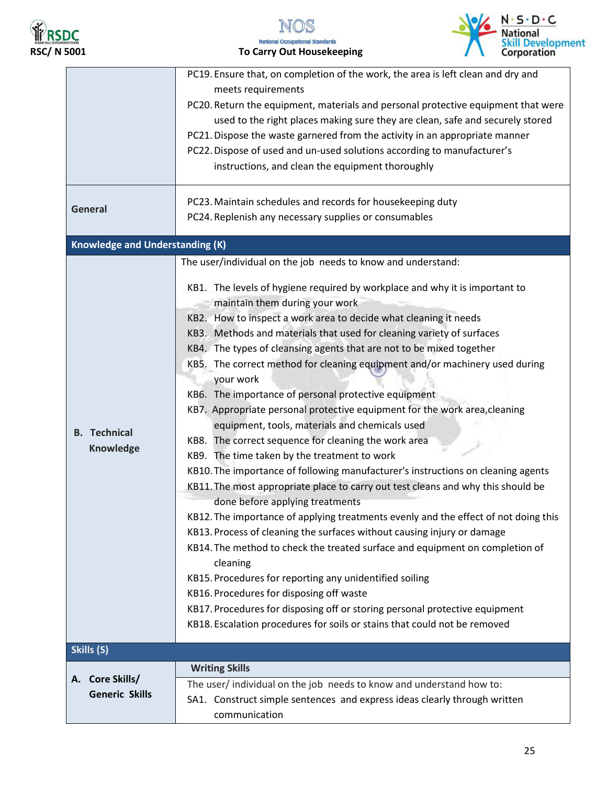





|                                          | PC19. Ensure that, on completion of the work, the area is left clean and dry and<br>meets requirements<br>PC20. Return the equipment, materials and personal protective equipment that were<br>used to the right places making sure they are clean, safe and securely stored<br>PC21. Dispose the waste garnered from the activity in an appropriate manner<br>PC22. Dispose of used and un-used solutions according to manufacturer's<br>instructions, and clean the equipment thoroughly<br>PC23. Maintain schedules and records for housekeeping duty                                                                                                                                                                                                                                                                                                                                                                                                                                                                                                                                                                                                                                                                                                                                                                                                                                                                                                                                                                                   |
|------------------------------------------|--------------------------------------------------------------------------------------------------------------------------------------------------------------------------------------------------------------------------------------------------------------------------------------------------------------------------------------------------------------------------------------------------------------------------------------------------------------------------------------------------------------------------------------------------------------------------------------------------------------------------------------------------------------------------------------------------------------------------------------------------------------------------------------------------------------------------------------------------------------------------------------------------------------------------------------------------------------------------------------------------------------------------------------------------------------------------------------------------------------------------------------------------------------------------------------------------------------------------------------------------------------------------------------------------------------------------------------------------------------------------------------------------------------------------------------------------------------------------------------------------------------------------------------------|
| General                                  | PC24. Replenish any necessary supplies or consumables                                                                                                                                                                                                                                                                                                                                                                                                                                                                                                                                                                                                                                                                                                                                                                                                                                                                                                                                                                                                                                                                                                                                                                                                                                                                                                                                                                                                                                                                                      |
| <b>Knowledge and Understanding (K)</b>   |                                                                                                                                                                                                                                                                                                                                                                                                                                                                                                                                                                                                                                                                                                                                                                                                                                                                                                                                                                                                                                                                                                                                                                                                                                                                                                                                                                                                                                                                                                                                            |
| <b>B.</b> Technical<br>Knowledge         | The user/individual on the job needs to know and understand:<br>KB1. The levels of hygiene required by workplace and why it is important to<br>maintain them during your work<br>KB2. How to inspect a work area to decide what cleaning it needs<br>KB3. Methods and materials that used for cleaning variety of surfaces<br>KB4. The types of cleansing agents that are not to be mixed together<br>KB5. The correct method for cleaning equipment and/or machinery used during<br>your work<br>KB6. The importance of personal protective equipment<br>KB7. Appropriate personal protective equipment for the work area, cleaning<br>equipment, tools, materials and chemicals used<br>KB8. The correct sequence for cleaning the work area<br>KB9. The time taken by the treatment to work<br>KB10. The importance of following manufacturer's instructions on cleaning agents<br>KB11. The most appropriate place to carry out test cleans and why this should be<br>done before applying treatments<br>KB12. The importance of applying treatments evenly and the effect of not doing this<br>KB13. Process of cleaning the surfaces without causing injury or damage<br>KB14. The method to check the treated surface and equipment on completion of<br>cleaning<br>KB15. Procedures for reporting any unidentified soiling<br>KB16. Procedures for disposing off waste<br>KB17. Procedures for disposing off or storing personal protective equipment<br>KB18. Escalation procedures for soils or stains that could not be removed |
| Skills (S)                               |                                                                                                                                                                                                                                                                                                                                                                                                                                                                                                                                                                                                                                                                                                                                                                                                                                                                                                                                                                                                                                                                                                                                                                                                                                                                                                                                                                                                                                                                                                                                            |
| A. Core Skills/<br><b>Generic Skills</b> | <b>Writing Skills</b><br>The user/ individual on the job needs to know and understand how to:<br>SA1. Construct simple sentences and express ideas clearly through written<br>communication                                                                                                                                                                                                                                                                                                                                                                                                                                                                                                                                                                                                                                                                                                                                                                                                                                                                                                                                                                                                                                                                                                                                                                                                                                                                                                                                                |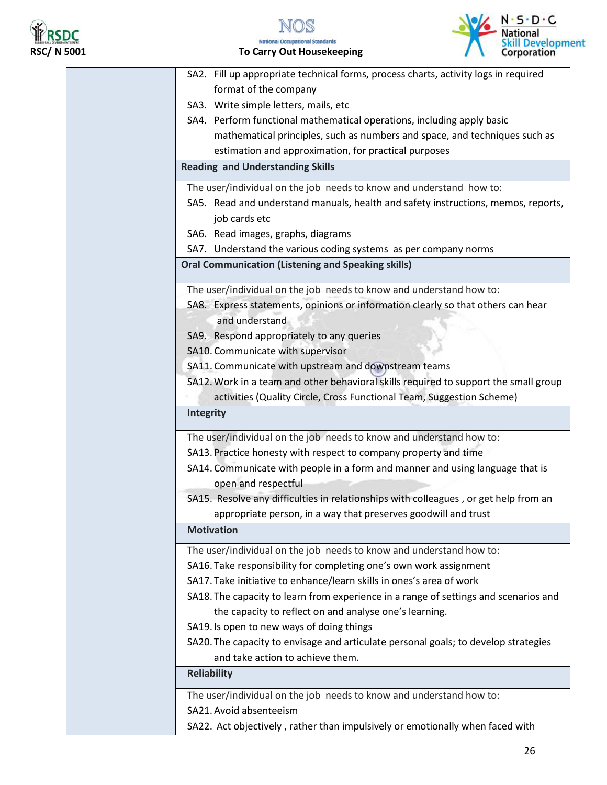

N S



| SA2. Fill up appropriate technical forms, process charts, activity logs in required  |
|--------------------------------------------------------------------------------------|
| format of the company                                                                |
| SA3. Write simple letters, mails, etc                                                |
| SA4. Perform functional mathematical operations, including apply basic               |
| mathematical principles, such as numbers and space, and techniques such as           |
| estimation and approximation, for practical purposes                                 |
| <b>Reading and Understanding Skills</b>                                              |
| The user/individual on the job needs to know and understand how to:                  |
| SA5. Read and understand manuals, health and safety instructions, memos, reports,    |
| job cards etc                                                                        |
| SA6. Read images, graphs, diagrams                                                   |
| SA7. Understand the various coding systems as per company norms                      |
| <b>Oral Communication (Listening and Speaking skills)</b>                            |
| The user/individual on the job needs to know and understand how to:                  |
| SA8. Express statements, opinions or information clearly so that others can hear     |
| and understand                                                                       |
| SA9. Respond appropriately to any queries                                            |
| SA10. Communicate with supervisor                                                    |
| SA11. Communicate with upstream and downstream teams                                 |
| SA12. Work in a team and other behavioral skills required to support the small group |
| activities (Quality Circle, Cross Functional Team, Suggestion Scheme)                |
| <b>Integrity</b>                                                                     |
| The user/individual on the job needs to know and understand how to:                  |
| SA13. Practice honesty with respect to company property and time                     |
| SA14. Communicate with people in a form and manner and using language that is        |
| open and respectful                                                                  |
| SA15. Resolve any difficulties in relationships with colleagues, or get help from an |
| appropriate person, in a way that preserves goodwill and trust                       |
| <b>Motivation</b>                                                                    |
| The user/individual on the job needs to know and understand how to:                  |
| SA16. Take responsibility for completing one's own work assignment                   |
| SA17. Take initiative to enhance/learn skills in ones's area of work                 |
| SA18. The capacity to learn from experience in a range of settings and scenarios and |
| the capacity to reflect on and analyse one's learning.                               |
| SA19. Is open to new ways of doing things                                            |
| SA20. The capacity to envisage and articulate personal goals; to develop strategies  |
| and take action to achieve them.                                                     |
| <b>Reliability</b>                                                                   |
| The user/individual on the job needs to know and understand how to:                  |
| SA21. Avoid absenteeism                                                              |
| SA22. Act objectively, rather than impulsively or emotionally when faced with        |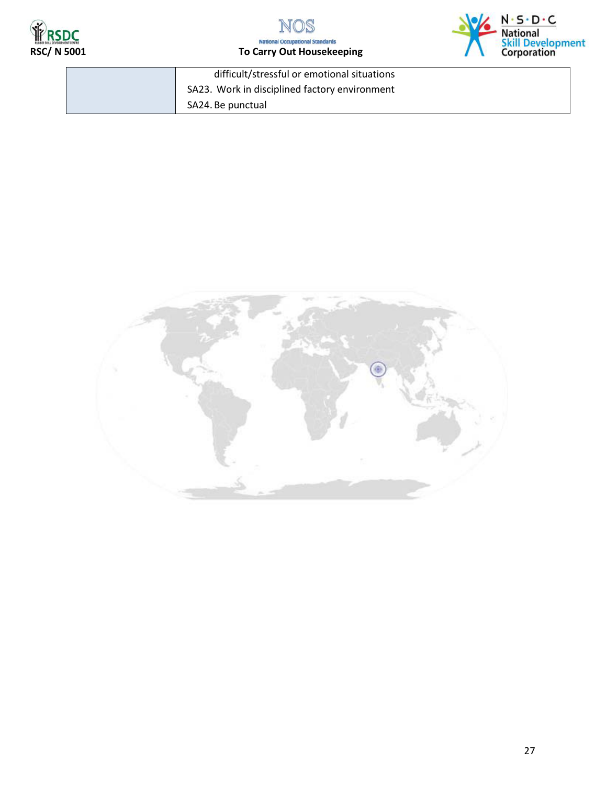





| difficult/stressful or emotional situations   |
|-----------------------------------------------|
| SA23. Work in disciplined factory environment |
| SA24. Be punctual                             |

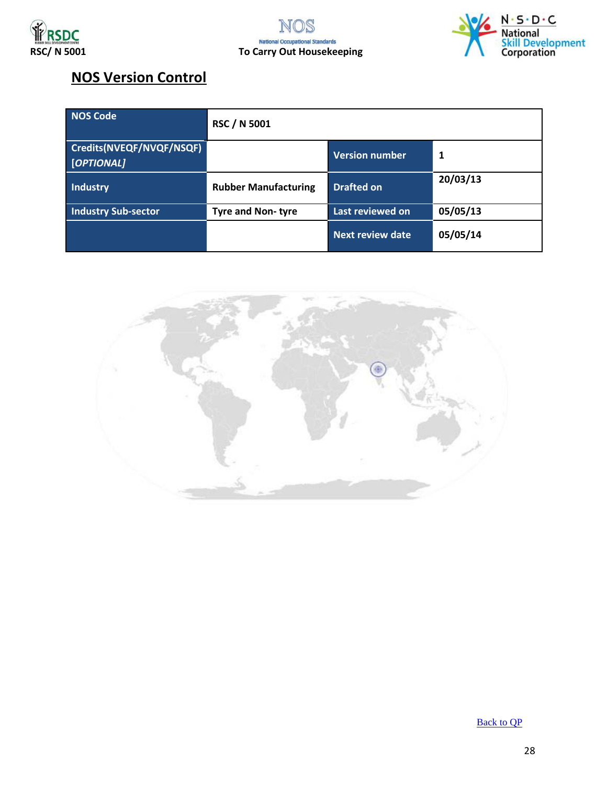





#### **NOS Version Control**

| <b>NOS Code</b>                        | <b>RSC / N 5001</b>         |                         |          |
|----------------------------------------|-----------------------------|-------------------------|----------|
| Credits(NVEQF/NVQF/NSQF)<br>[OPTIONAL] |                             | <b>Version number</b>   | 1        |
| <b>Industry</b>                        | <b>Rubber Manufacturing</b> | <b>Drafted on</b>       | 20/03/13 |
| <b>Industry Sub-sector</b>             | <b>Tyre and Non-tyre</b>    | Last reviewed on        | 05/05/13 |
|                                        |                             | <b>Next review date</b> | 05/05/14 |



[Back to QP](#page-1-0)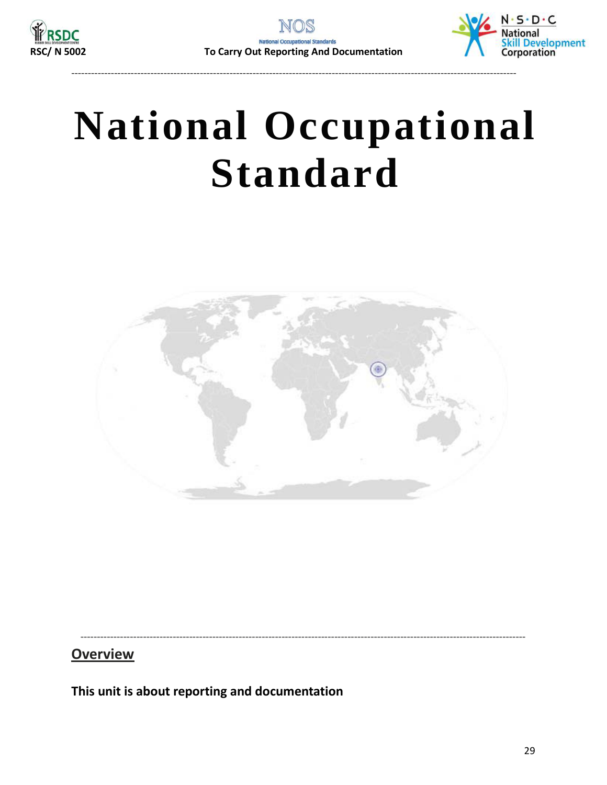

---------------------------------------------------------------------------------------------------------------------------------------



# <span id="page-28-0"></span>**National Occupational Standard**



---------------------------------------------------------------------------------------------------------------------------------------

**Overview** 

**This unit is about reporting and documentation**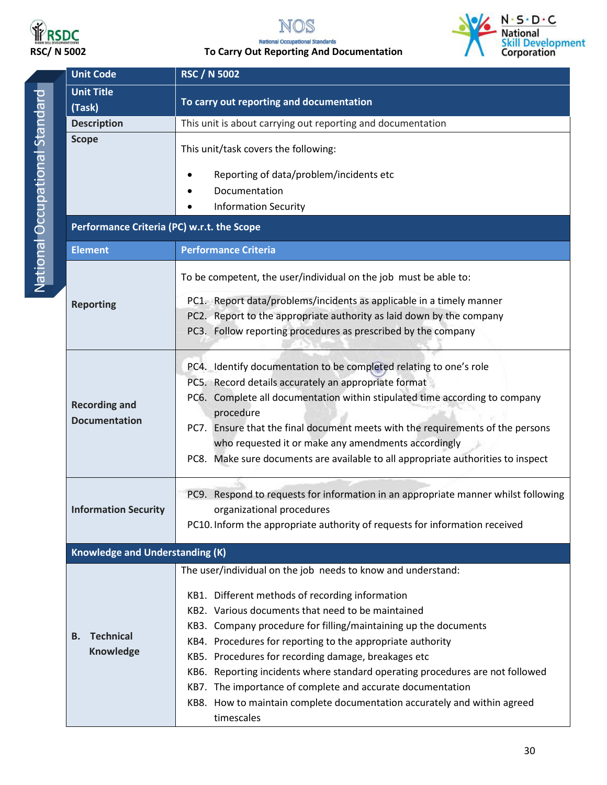



**RSDC**<br>RSC/ N 5002 To Carry Out Reporting And Documentation



| <b>Unit Code</b>                           | <b>RSC / N 5002</b>                                                                      |  |
|--------------------------------------------|------------------------------------------------------------------------------------------|--|
| <b>Unit Title</b>                          |                                                                                          |  |
| (Task)                                     | To carry out reporting and documentation                                                 |  |
| <b>Description</b>                         | This unit is about carrying out reporting and documentation                              |  |
| <b>Scope</b>                               | This unit/task covers the following:                                                     |  |
|                                            | Reporting of data/problem/incidents etc                                                  |  |
|                                            | Documentation                                                                            |  |
|                                            | <b>Information Security</b>                                                              |  |
| Performance Criteria (PC) w.r.t. the Scope |                                                                                          |  |
| <b>Element</b>                             | <b>Performance Criteria</b>                                                              |  |
|                                            | To be competent, the user/individual on the job must be able to:                         |  |
| <b>Reporting</b>                           | PC1. Report data/problems/incidents as applicable in a timely manner                     |  |
|                                            | PC2. Report to the appropriate authority as laid down by the company                     |  |
|                                            | PC3. Follow reporting procedures as prescribed by the company                            |  |
|                                            | PC4. Identify documentation to be completed relating to one's role                       |  |
|                                            | PC5. Record details accurately an appropriate format                                     |  |
| <b>Recording and</b>                       | PC6. Complete all documentation within stipulated time according to company<br>procedure |  |
| <b>Documentation</b>                       | PC7. Ensure that the final document meets with the requirements of the persons           |  |
|                                            | who requested it or make any amendments accordingly                                      |  |
|                                            | PC8. Make sure documents are available to all appropriate authorities to inspect         |  |
|                                            | PC9. Respond to requests for information in an appropriate manner whilst following       |  |
| <b>Information Security</b>                | organizational procedures                                                                |  |
|                                            | PC10. Inform the appropriate authority of requests for information received              |  |
| <b>Knowledge and Understanding (K)</b>     |                                                                                          |  |
|                                            | The user/individual on the job needs to know and understand:                             |  |
|                                            | KB1. Different methods of recording information                                          |  |
|                                            | KB2. Various documents that need to be maintained                                        |  |
|                                            | KB3. Company procedure for filling/maintaining up the documents                          |  |
| <b>Technical</b><br>В.                     | KB4. Procedures for reporting to the appropriate authority                               |  |
| <b>Knowledge</b>                           | KB5. Procedures for recording damage, breakages etc                                      |  |
|                                            | KB6. Reporting incidents where standard operating procedures are not followed            |  |
|                                            | KB7. The importance of complete and accurate documentation                               |  |
|                                            | KB8. How to maintain complete documentation accurately and within agreed<br>timescales   |  |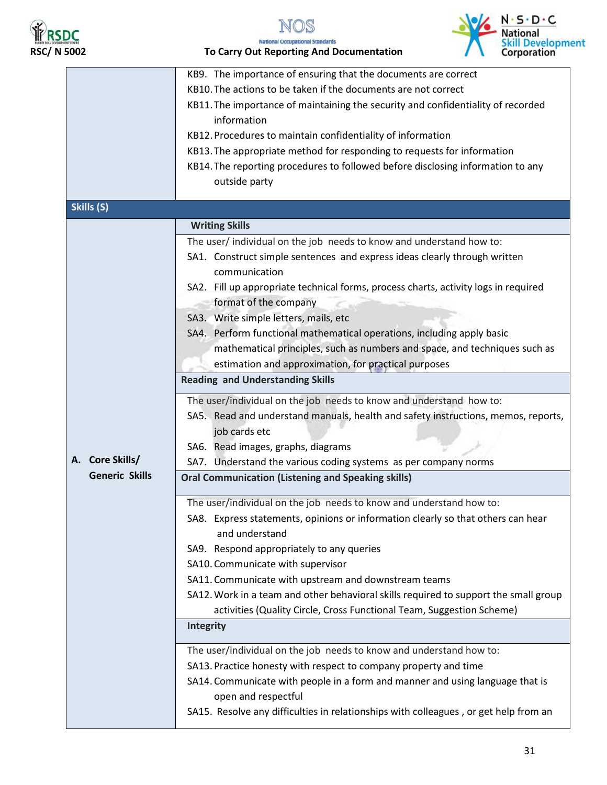





**RSDC**<br>RSC/ N 5002 To Carry Out Reporting And Documentation

|                       | KB9. The importance of ensuring that the documents are correct                                  |
|-----------------------|-------------------------------------------------------------------------------------------------|
|                       | KB10. The actions to be taken if the documents are not correct                                  |
|                       | KB11. The importance of maintaining the security and confidentiality of recorded<br>information |
|                       | KB12. Procedures to maintain confidentiality of information                                     |
|                       | KB13. The appropriate method for responding to requests for information                         |
|                       | KB14. The reporting procedures to followed before disclosing information to any                 |
|                       | outside party                                                                                   |
|                       |                                                                                                 |
| Skills (S)            |                                                                                                 |
|                       | <b>Writing Skills</b>                                                                           |
|                       | The user/individual on the job needs to know and understand how to:                             |
|                       | SA1. Construct simple sentences and express ideas clearly through written                       |
|                       | communication                                                                                   |
|                       | SA2. Fill up appropriate technical forms, process charts, activity logs in required             |
|                       | format of the company                                                                           |
|                       | SA3. Write simple letters, mails, etc                                                           |
|                       | SA4. Perform functional mathematical operations, including apply basic                          |
|                       | mathematical principles, such as numbers and space, and techniques such as                      |
|                       | estimation and approximation, for practical purposes                                            |
|                       | <b>Reading and Understanding Skills</b>                                                         |
|                       |                                                                                                 |
|                       | The user/individual on the job needs to know and understand how to:                             |
|                       | SA5. Read and understand manuals, health and safety instructions, memos, reports,               |
|                       | job cards etc                                                                                   |
|                       | SA6. Read images, graphs, diagrams                                                              |
| A. Core Skills/       | SA7. Understand the various coding systems as per company norms                                 |
| <b>Generic Skills</b> | <b>Oral Communication (Listening and Speaking skills)</b>                                       |
|                       | The user/individual on the job needs to know and understand how to:                             |
|                       | SA8. Express statements, opinions or information clearly so that others can hear                |
|                       | and understand                                                                                  |
|                       | SA9. Respond appropriately to any queries                                                       |
|                       | SA10. Communicate with supervisor                                                               |
|                       | SA11. Communicate with upstream and downstream teams                                            |
|                       | SA12. Work in a team and other behavioral skills required to support the small group            |
|                       | activities (Quality Circle, Cross Functional Team, Suggestion Scheme)                           |
|                       | Integrity                                                                                       |
|                       |                                                                                                 |
|                       | The user/individual on the job needs to know and understand how to:                             |
|                       | SA13. Practice honesty with respect to company property and time                                |
|                       | SA14. Communicate with people in a form and manner and using language that is                   |
|                       | open and respectful                                                                             |
|                       | SA15. Resolve any difficulties in relationships with colleagues, or get help from an            |
|                       |                                                                                                 |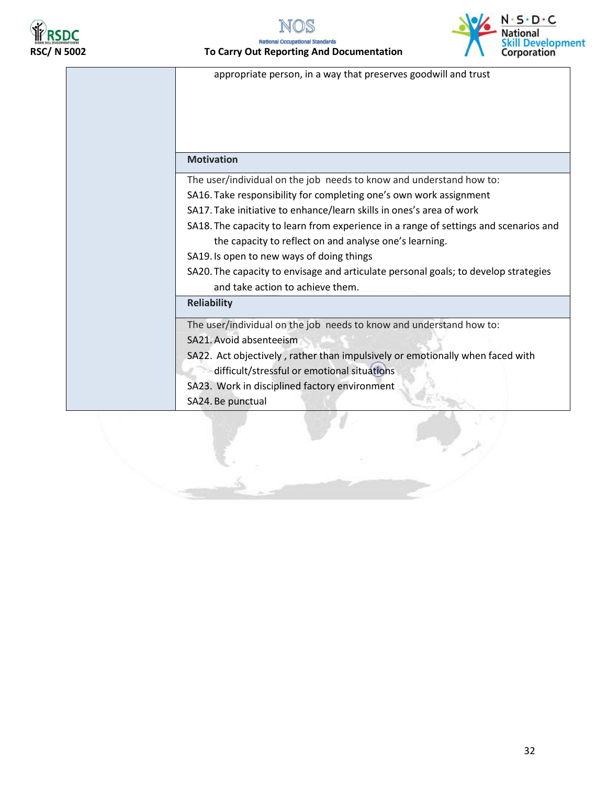



#### **RICOL REPORTS IN SCILL TO CARRY Out Reporting And Documentation**



appropriate person, in a way that preserves goodwill and trust

#### **Motivation**

The user/individual on the job needs to know and understand how to:

- SA16. Take responsibility for completing one's own work assignment
- SA17. Take initiative to enhance/learn skills in ones's area of work

SA18. The capacity to learn from experience in a range of settings and scenarios and the capacity to reflect on and analyse one's learning.

SA19. Is open to new ways of doing things

SA20. The capacity to envisage and articulate personal goals; to develop strategies and take action to achieve them.

#### **Reliability**

The user/individual on the job needs to know and understand how to: SA21.Avoid absenteeism

SA22. Act objectively , rather than impulsively or emotionally when faced with

difficult/stressful or emotional situations

SA23. Work in disciplined factory environment

SA24. Be punctual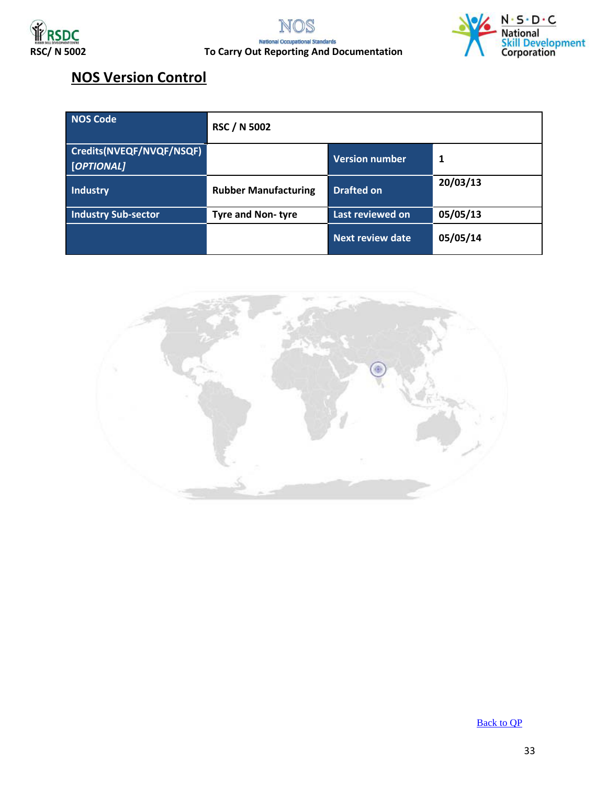





#### **NOS Version Control**

| NOS Code                               | <b>RSC / N 5002</b>         |                         |          |
|----------------------------------------|-----------------------------|-------------------------|----------|
| Credits(NVEQF/NVQF/NSQF)<br>[OPTIONAL] |                             | <b>Version number</b>   |          |
| <b>Industry</b>                        | <b>Rubber Manufacturing</b> | <b>Drafted on</b>       | 20/03/13 |
| <b>Industry Sub-sector</b>             | <b>Tyre and Non-tyre</b>    | Last reviewed on        | 05/05/13 |
|                                        |                             | <b>Next review date</b> | 05/05/14 |



[Back to QP](#page-1-0)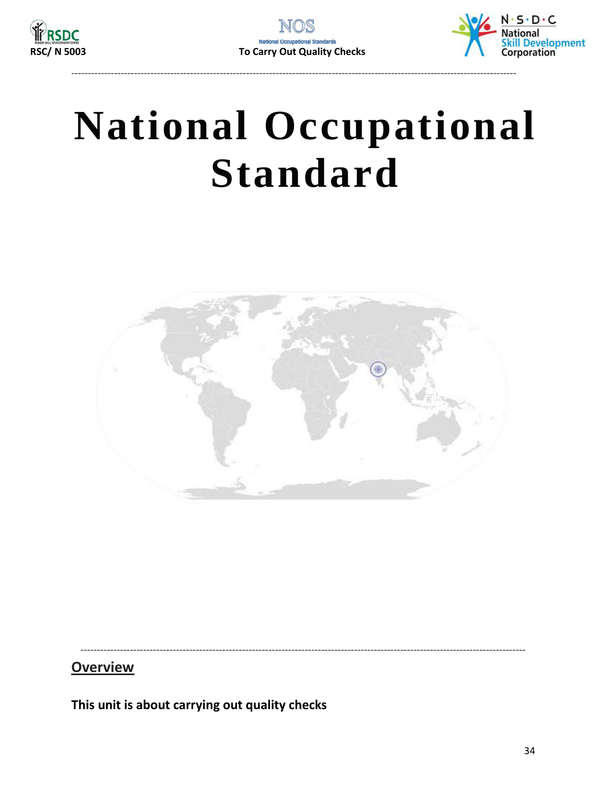



# <span id="page-33-0"></span>**National Occupational Standard**



**Overview** 

This unit is about carrying out quality checks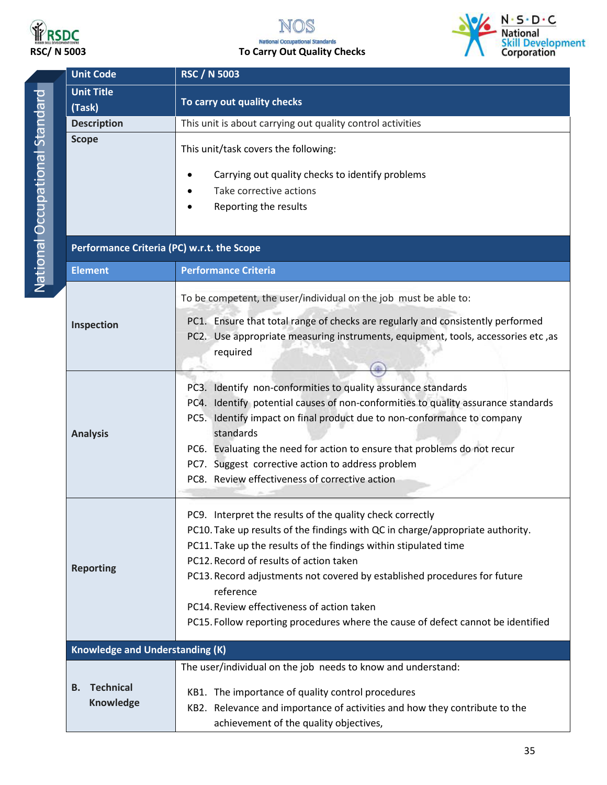

### NOS **RSDC**<br>RSC/ N 5003 **RSC/ N** 5003 **RSC/ N** 5003



| <b>Unit Code</b><br><b>RSC / N 5003</b> |                                                                                                                                                                                                                                                                                                                                                                                                                                                                                        |  |  |
|-----------------------------------------|----------------------------------------------------------------------------------------------------------------------------------------------------------------------------------------------------------------------------------------------------------------------------------------------------------------------------------------------------------------------------------------------------------------------------------------------------------------------------------------|--|--|
| <b>Unit Title</b>                       | To carry out quality checks                                                                                                                                                                                                                                                                                                                                                                                                                                                            |  |  |
| (Task)                                  |                                                                                                                                                                                                                                                                                                                                                                                                                                                                                        |  |  |
| <b>Description</b>                      | This unit is about carrying out quality control activities                                                                                                                                                                                                                                                                                                                                                                                                                             |  |  |
| <b>Scope</b>                            | This unit/task covers the following:                                                                                                                                                                                                                                                                                                                                                                                                                                                   |  |  |
|                                         | Carrying out quality checks to identify problems                                                                                                                                                                                                                                                                                                                                                                                                                                       |  |  |
|                                         | Take corrective actions                                                                                                                                                                                                                                                                                                                                                                                                                                                                |  |  |
|                                         | Reporting the results                                                                                                                                                                                                                                                                                                                                                                                                                                                                  |  |  |
|                                         | Performance Criteria (PC) w.r.t. the Scope                                                                                                                                                                                                                                                                                                                                                                                                                                             |  |  |
| <b>Element</b>                          | <b>Performance Criteria</b>                                                                                                                                                                                                                                                                                                                                                                                                                                                            |  |  |
|                                         | To be competent, the user/individual on the job must be able to:                                                                                                                                                                                                                                                                                                                                                                                                                       |  |  |
| Inspection                              | PC1. Ensure that total range of checks are regularly and consistently performed<br>PC2. Use appropriate measuring instruments, equipment, tools, accessories etc, as<br>required                                                                                                                                                                                                                                                                                                       |  |  |
| <b>Analysis</b>                         | PC3. Identify non-conformities to quality assurance standards<br>PC4. Identify potential causes of non-conformities to quality assurance standards<br>PC5. Identify impact on final product due to non-conformance to company<br>standards<br>PC6. Evaluating the need for action to ensure that problems do not recur<br>PC7. Suggest corrective action to address problem<br>PC8. Review effectiveness of corrective action                                                          |  |  |
| <b>Reporting</b>                        | PC9. Interpret the results of the quality check correctly<br>PC10. Take up results of the findings with QC in charge/appropriate authority.<br>PC11. Take up the results of the findings within stipulated time<br>PC12. Record of results of action taken<br>PC13. Record adjustments not covered by established procedures for future<br>reference<br>PC14. Review effectiveness of action taken<br>PC15. Follow reporting procedures where the cause of defect cannot be identified |  |  |
| <b>Knowledge and Understanding (K)</b>  |                                                                                                                                                                                                                                                                                                                                                                                                                                                                                        |  |  |
|                                         | The user/individual on the job needs to know and understand:                                                                                                                                                                                                                                                                                                                                                                                                                           |  |  |
| <b>Technical</b><br>В.<br>Knowledge     | KB1. The importance of quality control procedures<br>KB2. Relevance and importance of activities and how they contribute to the<br>achievement of the quality objectives,                                                                                                                                                                                                                                                                                                              |  |  |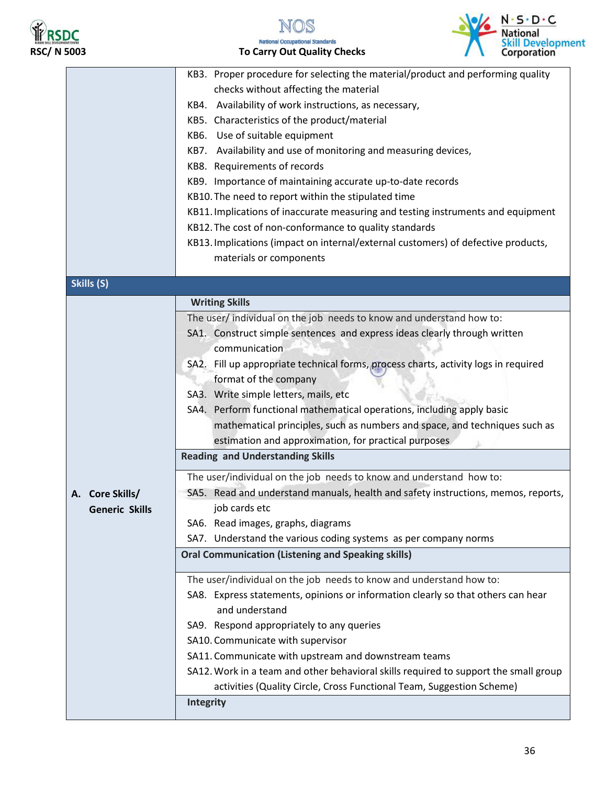



### Volt N.S.D.C National<br>Skill Development<br>Corporation

|                       | KB3. Proper procedure for selecting the material/product and performing quality      |
|-----------------------|--------------------------------------------------------------------------------------|
|                       | checks without affecting the material                                                |
|                       | KB4. Availability of work instructions, as necessary,                                |
|                       | KB5. Characteristics of the product/material                                         |
|                       | KB6. Use of suitable equipment                                                       |
|                       | KB7. Availability and use of monitoring and measuring devices,                       |
|                       | KB8. Requirements of records                                                         |
|                       | KB9. Importance of maintaining accurate up-to-date records                           |
|                       | KB10. The need to report within the stipulated time                                  |
|                       | KB11. Implications of inaccurate measuring and testing instruments and equipment     |
|                       | KB12. The cost of non-conformance to quality standards                               |
|                       | KB13. Implications (impact on internal/external customers) of defective products,    |
|                       | materials or components                                                              |
| Skills (S)            |                                                                                      |
|                       | <b>Writing Skills</b>                                                                |
|                       | The user/ individual on the job needs to know and understand how to:                 |
|                       | SA1. Construct simple sentences and express ideas clearly through written            |
|                       | communication                                                                        |
|                       | SA2. Fill up appropriate technical forms, process charts, activity logs in required  |
|                       | format of the company                                                                |
|                       | SA3. Write simple letters, mails, etc                                                |
|                       | SA4. Perform functional mathematical operations, including apply basic               |
|                       | mathematical principles, such as numbers and space, and techniques such as           |
|                       | estimation and approximation, for practical purposes                                 |
|                       | <b>Reading and Understanding Skills</b>                                              |
|                       | The user/individual on the job needs to know and understand how to:                  |
| A. Core Skills/       | SA5. Read and understand manuals, health and safety instructions, memos, reports,    |
| <b>Generic Skills</b> | job cards etc                                                                        |
|                       | SA6. Read images, graphs, diagrams                                                   |
|                       | SA7. Understand the various coding systems as per company norms                      |
|                       | <b>Oral Communication (Listening and Speaking skills)</b>                            |
|                       | The user/individual on the job needs to know and understand how to:                  |
|                       | SA8. Express statements, opinions or information clearly so that others can hear     |
|                       | and understand                                                                       |
|                       | SA9. Respond appropriately to any queries                                            |
|                       | SA10. Communicate with supervisor                                                    |
|                       | SA11. Communicate with upstream and downstream teams                                 |
|                       | SA12. Work in a team and other behavioral skills required to support the small group |
|                       | activities (Quality Circle, Cross Functional Team, Suggestion Scheme)                |
|                       | Integrity                                                                            |
|                       |                                                                                      |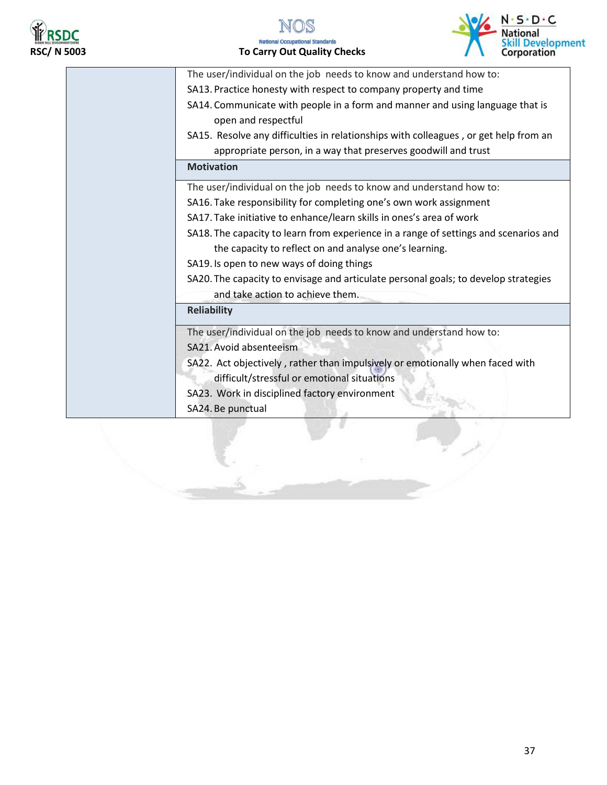





| The user/individual on the job needs to know and understand how to:                  |
|--------------------------------------------------------------------------------------|
| SA13. Practice honesty with respect to company property and time                     |
| SA14. Communicate with people in a form and manner and using language that is        |
| open and respectful                                                                  |
| SA15. Resolve any difficulties in relationships with colleagues, or get help from an |
| appropriate person, in a way that preserves goodwill and trust                       |
| <b>Motivation</b>                                                                    |
| The user/individual on the job needs to know and understand how to:                  |
| SA16. Take responsibility for completing one's own work assignment                   |
| SA17. Take initiative to enhance/learn skills in ones's area of work                 |
| SA18. The capacity to learn from experience in a range of settings and scenarios and |
| the capacity to reflect on and analyse one's learning.                               |
| SA19. Is open to new ways of doing things                                            |
| SA20. The capacity to envisage and articulate personal goals; to develop strategies  |
| and take action to achieve them.                                                     |
| <b>Reliability</b>                                                                   |
| The user/individual on the job needs to know and understand how to:                  |
| SA21. Avoid absenteeism                                                              |
| SA22. Act objectively, rather than impulsively or emotionally when faced with        |
| difficult/stressful or emotional situations                                          |
| SA23. Work in disciplined factory environment                                        |
| SA24. Be punctual                                                                    |
|                                                                                      |
|                                                                                      |
|                                                                                      |
|                                                                                      |
|                                                                                      |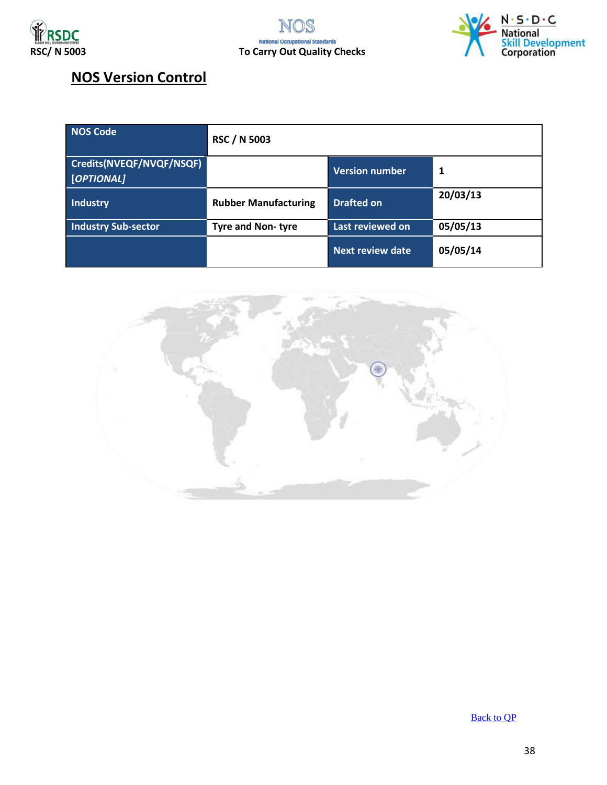





#### **NOS Version Control**

| <b>NOS Code</b>                        | <b>RSC / N 5003</b>         |                       |          |
|----------------------------------------|-----------------------------|-----------------------|----------|
| Credits(NVEQF/NVQF/NSQF)<br>[OPTIONAL] |                             | <b>Version number</b> | 1        |
| Industry                               | <b>Rubber Manufacturing</b> | <b>Drafted on</b>     | 20/03/13 |
| <b>Industry Sub-sector</b>             | <b>Tyre and Non-tyre</b>    | Last reviewed on      | 05/05/13 |
|                                        |                             | Next review date      | 05/05/14 |



Back [to QP](#page-1-0)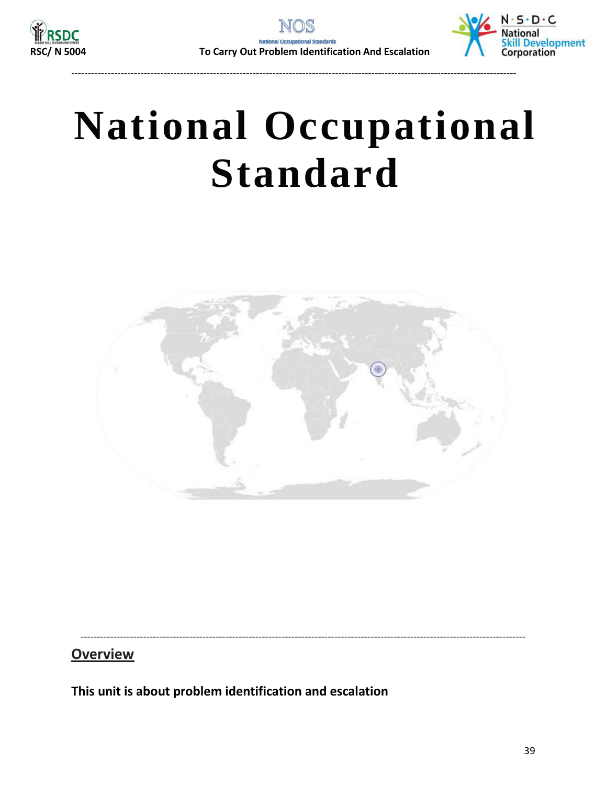



# <span id="page-38-0"></span>**National Occupational Standard**

---------------------------------------------------------------------------------------------------------------------------------------



---------------------------------------------------------------------------------------------------------------------------------------

**Overview** 

**This unit is about problem identification and escalation**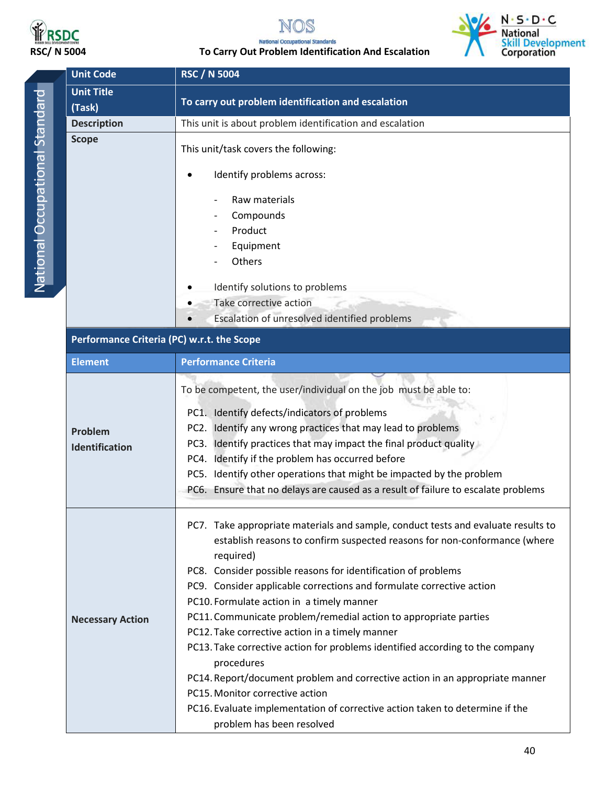



## **RSDC**<br>RSC/ N 5004 To Carry Out Problem Identification And Escalation<br>To Carry Out Problem Identification And Escalation



| <b>Unit Code</b>                           | <b>RSC / N 5004</b>                                                                                                                                                                                                                                                                                                                                                                                                                                                                                                                                                                                                                                                                                                                                                                                                     |  |  |
|--------------------------------------------|-------------------------------------------------------------------------------------------------------------------------------------------------------------------------------------------------------------------------------------------------------------------------------------------------------------------------------------------------------------------------------------------------------------------------------------------------------------------------------------------------------------------------------------------------------------------------------------------------------------------------------------------------------------------------------------------------------------------------------------------------------------------------------------------------------------------------|--|--|
| <b>Unit Title</b>                          |                                                                                                                                                                                                                                                                                                                                                                                                                                                                                                                                                                                                                                                                                                                                                                                                                         |  |  |
| (Task)                                     | To carry out problem identification and escalation                                                                                                                                                                                                                                                                                                                                                                                                                                                                                                                                                                                                                                                                                                                                                                      |  |  |
| <b>Description</b>                         | This unit is about problem identification and escalation                                                                                                                                                                                                                                                                                                                                                                                                                                                                                                                                                                                                                                                                                                                                                                |  |  |
| <b>Scope</b>                               | This unit/task covers the following:                                                                                                                                                                                                                                                                                                                                                                                                                                                                                                                                                                                                                                                                                                                                                                                    |  |  |
|                                            | Identify problems across:                                                                                                                                                                                                                                                                                                                                                                                                                                                                                                                                                                                                                                                                                                                                                                                               |  |  |
|                                            | Raw materials                                                                                                                                                                                                                                                                                                                                                                                                                                                                                                                                                                                                                                                                                                                                                                                                           |  |  |
|                                            | Compounds                                                                                                                                                                                                                                                                                                                                                                                                                                                                                                                                                                                                                                                                                                                                                                                                               |  |  |
|                                            | Product<br>$\overline{\phantom{a}}$                                                                                                                                                                                                                                                                                                                                                                                                                                                                                                                                                                                                                                                                                                                                                                                     |  |  |
|                                            | Equipment                                                                                                                                                                                                                                                                                                                                                                                                                                                                                                                                                                                                                                                                                                                                                                                                               |  |  |
|                                            | Others                                                                                                                                                                                                                                                                                                                                                                                                                                                                                                                                                                                                                                                                                                                                                                                                                  |  |  |
|                                            | Identify solutions to problems                                                                                                                                                                                                                                                                                                                                                                                                                                                                                                                                                                                                                                                                                                                                                                                          |  |  |
|                                            | Take corrective action                                                                                                                                                                                                                                                                                                                                                                                                                                                                                                                                                                                                                                                                                                                                                                                                  |  |  |
|                                            | Escalation of unresolved identified problems                                                                                                                                                                                                                                                                                                                                                                                                                                                                                                                                                                                                                                                                                                                                                                            |  |  |
|                                            |                                                                                                                                                                                                                                                                                                                                                                                                                                                                                                                                                                                                                                                                                                                                                                                                                         |  |  |
| Performance Criteria (PC) w.r.t. the Scope |                                                                                                                                                                                                                                                                                                                                                                                                                                                                                                                                                                                                                                                                                                                                                                                                                         |  |  |
| <b>Element</b>                             | <b>Performance Criteria</b>                                                                                                                                                                                                                                                                                                                                                                                                                                                                                                                                                                                                                                                                                                                                                                                             |  |  |
| Problem<br><b>Identification</b>           | To be competent, the user/individual on the job must be able to:<br>PC1. Identify defects/indicators of problems<br>PC2. Identify any wrong practices that may lead to problems<br>PC3. Identify practices that may impact the final product quality<br>PC4. Identify if the problem has occurred before<br>PC5. Identify other operations that might be impacted by the problem<br>PC6. Ensure that no delays are caused as a result of failure to escalate problems                                                                                                                                                                                                                                                                                                                                                   |  |  |
| <b>Necessary Action</b>                    | PC7. Take appropriate materials and sample, conduct tests and evaluate results to<br>establish reasons to confirm suspected reasons for non-conformance (where<br>required)<br>PC8. Consider possible reasons for identification of problems<br>PC9. Consider applicable corrections and formulate corrective action<br>PC10. Formulate action in a timely manner<br>PC11. Communicate problem/remedial action to appropriate parties<br>PC12. Take corrective action in a timely manner<br>PC13. Take corrective action for problems identified according to the company<br>procedures<br>PC14. Report/document problem and corrective action in an appropriate manner<br>PC15. Monitor corrective action<br>PC16. Evaluate implementation of corrective action taken to determine if the<br>problem has been resolved |  |  |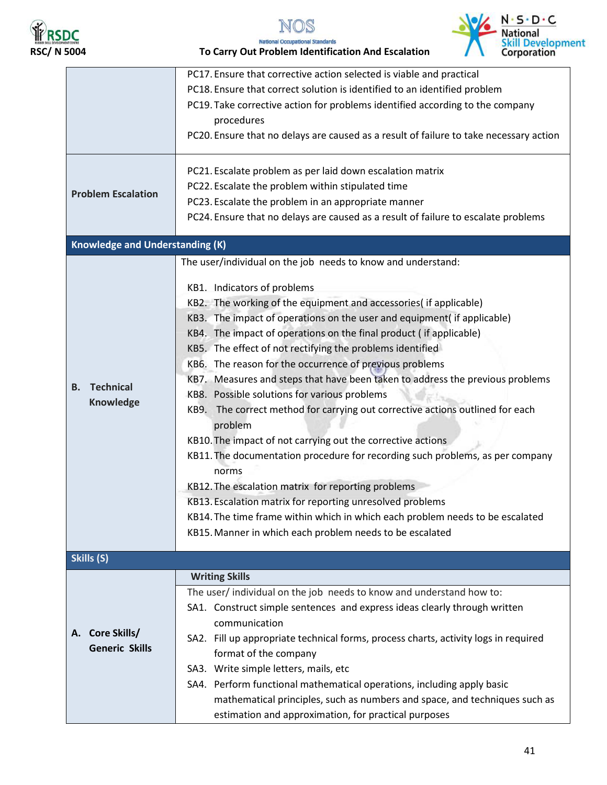



**RSDC**<br>RSC/ N 5004 **RSC/ N 5004** To Carry Out Problem Identification And Escalation

|                                        | PC17. Ensure that corrective action selected is viable and practical                   |  |  |
|----------------------------------------|----------------------------------------------------------------------------------------|--|--|
|                                        | PC18. Ensure that correct solution is identified to an identified problem              |  |  |
|                                        | PC19. Take corrective action for problems identified according to the company          |  |  |
|                                        | procedures                                                                             |  |  |
|                                        | PC20. Ensure that no delays are caused as a result of failure to take necessary action |  |  |
|                                        |                                                                                        |  |  |
|                                        | PC21. Escalate problem as per laid down escalation matrix                              |  |  |
| <b>Problem Escalation</b>              | PC22. Escalate the problem within stipulated time                                      |  |  |
|                                        | PC23. Escalate the problem in an appropriate manner                                    |  |  |
|                                        | PC24. Ensure that no delays are caused as a result of failure to escalate problems     |  |  |
| <b>Knowledge and Understanding (K)</b> |                                                                                        |  |  |
|                                        | The user/individual on the job needs to know and understand:                           |  |  |
|                                        | KB1. Indicators of problems                                                            |  |  |
|                                        | KB2. The working of the equipment and accessories( if applicable)                      |  |  |
|                                        |                                                                                        |  |  |
|                                        | KB3. The impact of operations on the user and equipment( if applicable)                |  |  |
|                                        | KB4. The impact of operations on the final product (if applicable)                     |  |  |
|                                        | KB5. The effect of not rectifying the problems identified                              |  |  |
|                                        | KB6. The reason for the occurrence of previous problems                                |  |  |
| <b>Technical</b><br><b>B.</b>          | KB7. Measures and steps that have been taken to address the previous problems          |  |  |
| Knowledge                              | KB8. Possible solutions for various problems                                           |  |  |
|                                        | KB9. The correct method for carrying out corrective actions outlined for each          |  |  |
|                                        | problem                                                                                |  |  |
|                                        | KB10. The impact of not carrying out the corrective actions                            |  |  |
|                                        | KB11. The documentation procedure for recording such problems, as per company          |  |  |
|                                        | norms                                                                                  |  |  |
|                                        | KB12. The escalation matrix for reporting problems                                     |  |  |
|                                        | KB13. Escalation matrix for reporting unresolved problems                              |  |  |
|                                        | KB14. The time frame within which in which each problem needs to be escalated          |  |  |
|                                        | KB15. Manner in which each problem needs to be escalated                               |  |  |
|                                        |                                                                                        |  |  |
| Skills (S)                             |                                                                                        |  |  |
|                                        | <b>Writing Skills</b>                                                                  |  |  |
|                                        | The user/ individual on the job needs to know and understand how to:                   |  |  |
|                                        | SA1. Construct simple sentences and express ideas clearly through written              |  |  |
|                                        | communication                                                                          |  |  |
| A. Core Skills/                        | SA2. Fill up appropriate technical forms, process charts, activity logs in required    |  |  |
| <b>Generic Skills</b>                  | format of the company                                                                  |  |  |
|                                        | SA3. Write simple letters, mails, etc                                                  |  |  |
|                                        | SA4. Perform functional mathematical operations, including apply basic                 |  |  |
|                                        | mathematical principles, such as numbers and space, and techniques such as             |  |  |
|                                        | estimation and approximation, for practical purposes                                   |  |  |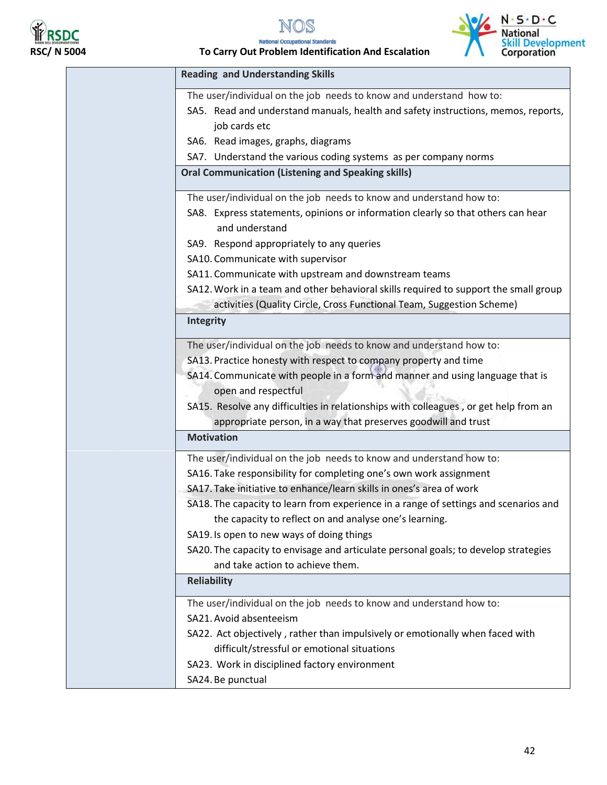

### **RIF ROLL**<br>RSC/ N 5004 **RSC/ N 5004** To Carry Out Problem Identification And Escalation



| <b>Reading and Understanding Skills</b>                                                              |
|------------------------------------------------------------------------------------------------------|
| The user/individual on the job needs to know and understand how to:                                  |
| SA5. Read and understand manuals, health and safety instructions, memos, reports,                    |
| job cards etc                                                                                        |
| SA6. Read images, graphs, diagrams                                                                   |
| SA7. Understand the various coding systems as per company norms                                      |
| <b>Oral Communication (Listening and Speaking skills)</b>                                            |
| The user/individual on the job needs to know and understand how to:                                  |
| SA8. Express statements, opinions or information clearly so that others can hear                     |
| and understand                                                                                       |
| SA9. Respond appropriately to any queries                                                            |
| SA10. Communicate with supervisor                                                                    |
| SA11. Communicate with upstream and downstream teams                                                 |
| SA12. Work in a team and other behavioral skills required to support the small group                 |
| activities (Quality Circle, Cross Functional Team, Suggestion Scheme)                                |
| Integrity                                                                                            |
| The user/individual on the job needs to know and understand how to:                                  |
| SA13. Practice honesty with respect to company property and time                                     |
| SA14. Communicate with people in a form and manner and using language that is<br>open and respectful |
| SA15. Resolve any difficulties in relationships with colleagues, or get help from an                 |
| appropriate person, in a way that preserves goodwill and trust                                       |
| <b>Motivation</b>                                                                                    |
| The user/individual on the job needs to know and understand how to:                                  |
| SA16. Take responsibility for completing one's own work assignment                                   |
| SA17. Take initiative to enhance/learn skills in ones's area of work                                 |
| SA18. The capacity to learn from experience in a range of settings and scenarios and                 |
| the capacity to reflect on and analyse one's learning.                                               |
| SA19. Is open to new ways of doing things                                                            |
| SA20. The capacity to envisage and articulate personal goals; to develop strategies                  |
| and take action to achieve them.                                                                     |
| <b>Reliability</b>                                                                                   |
| The user/individual on the job needs to know and understand how to:                                  |
| SA21. Avoid absenteeism                                                                              |
| SA22. Act objectively, rather than impulsively or emotionally when faced with                        |
| difficult/stressful or emotional situations                                                          |
| SA23. Work in disciplined factory environment                                                        |
| SA24. Be punctual                                                                                    |